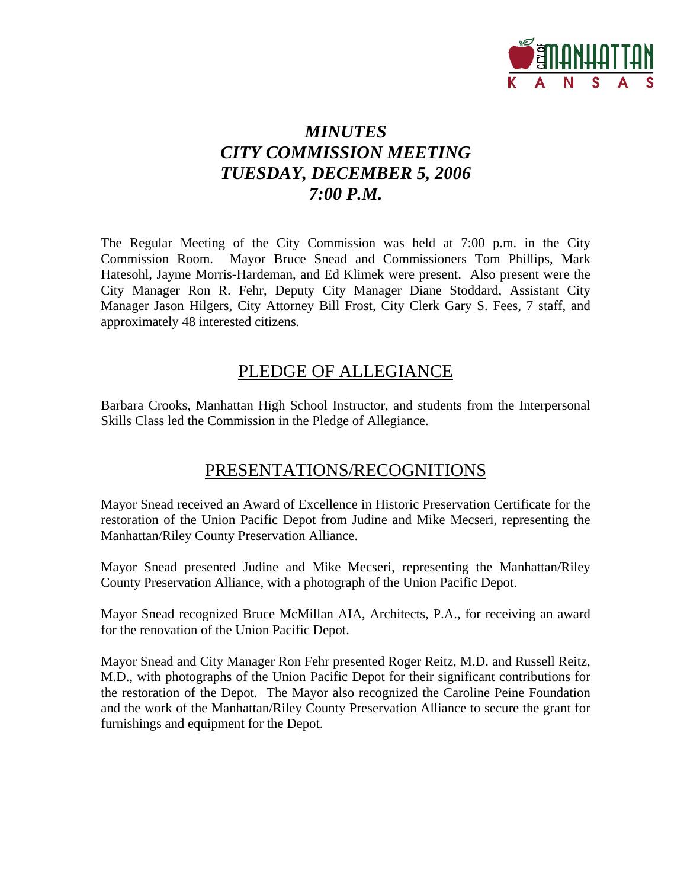

# *MINUTES CITY COMMISSION MEETING TUESDAY, DECEMBER 5, 2006 7:00 P.M.*

The Regular Meeting of the City Commission was held at 7:00 p.m. in the City Commission Room. Mayor Bruce Snead and Commissioners Tom Phillips, Mark Hatesohl, Jayme Morris-Hardeman, and Ed Klimek were present. Also present were the City Manager Ron R. Fehr, Deputy City Manager Diane Stoddard, Assistant City Manager Jason Hilgers, City Attorney Bill Frost, City Clerk Gary S. Fees, 7 staff, and approximately 48 interested citizens.

# PLEDGE OF ALLEGIANCE

Barbara Crooks, Manhattan High School Instructor, and students from the Interpersonal Skills Class led the Commission in the Pledge of Allegiance.

# PRESENTATIONS/RECOGNITIONS

Mayor Snead received an Award of Excellence in Historic Preservation Certificate for the restoration of the Union Pacific Depot from Judine and Mike Mecseri, representing the Manhattan/Riley County Preservation Alliance.

Mayor Snead presented Judine and Mike Mecseri, representing the Manhattan/Riley County Preservation Alliance, with a photograph of the Union Pacific Depot.

Mayor Snead recognized Bruce McMillan AIA, Architects, P.A., for receiving an award for the renovation of the Union Pacific Depot.

Mayor Snead and City Manager Ron Fehr presented Roger Reitz, M.D. and Russell Reitz, M.D., with photographs of the Union Pacific Depot for their significant contributions for the restoration of the Depot. The Mayor also recognized the Caroline Peine Foundation and the work of the Manhattan/Riley County Preservation Alliance to secure the grant for furnishings and equipment for the Depot.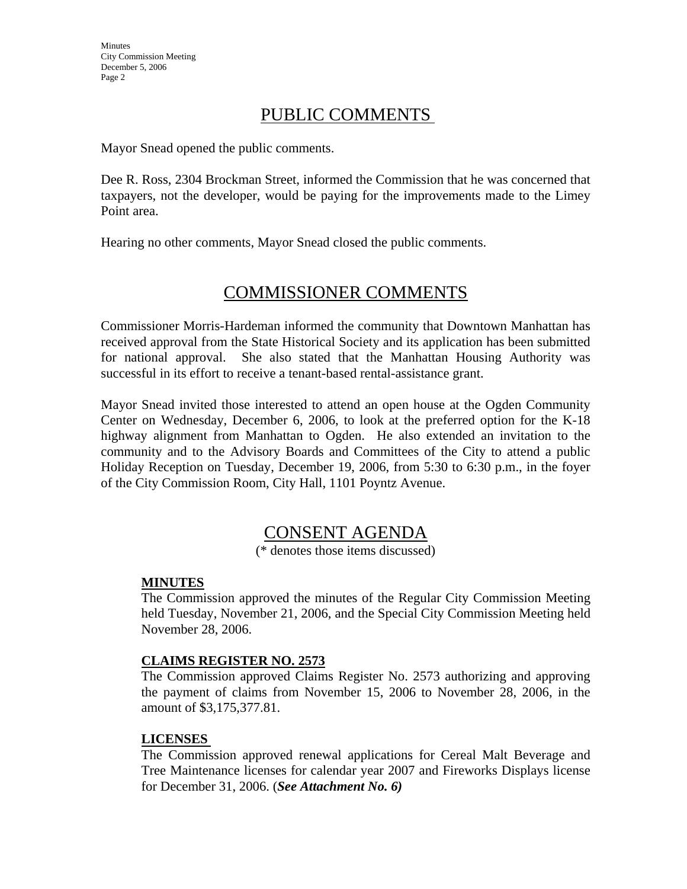# PUBLIC COMMENTS

Mayor Snead opened the public comments.

Dee R. Ross, 2304 Brockman Street, informed the Commission that he was concerned that taxpayers, not the developer, would be paying for the improvements made to the Limey Point area.

Hearing no other comments, Mayor Snead closed the public comments.

# COMMISSIONER COMMENTS

Commissioner Morris-Hardeman informed the community that Downtown Manhattan has received approval from the State Historical Society and its application has been submitted for national approval. She also stated that the Manhattan Housing Authority was successful in its effort to receive a tenant-based rental-assistance grant.

Mayor Snead invited those interested to attend an open house at the Ogden Community Center on Wednesday, December 6, 2006, to look at the preferred option for the K-18 highway alignment from Manhattan to Ogden. He also extended an invitation to the community and to the Advisory Boards and Committees of the City to attend a public Holiday Reception on Tuesday, December 19, 2006, from 5:30 to 6:30 p.m., in the foyer of the City Commission Room, City Hall, 1101 Poyntz Avenue.

# CONSENT AGENDA

(\* denotes those items discussed)

#### **MINUTES**

The Commission approved the minutes of the Regular City Commission Meeting held Tuesday, November 21, 2006, and the Special City Commission Meeting held November 28, 2006.

#### **CLAIMS REGISTER NO. 2573**

The Commission approved Claims Register No. 2573 authorizing and approving the payment of claims from November 15, 2006 to November 28, 2006, in the amount of \$3,175,377.81.

#### **LICENSES**

The Commission approved renewal applications for Cereal Malt Beverage and Tree Maintenance licenses for calendar year 2007 and Fireworks Displays license for December 31, 2006. (*See Attachment No. 6)*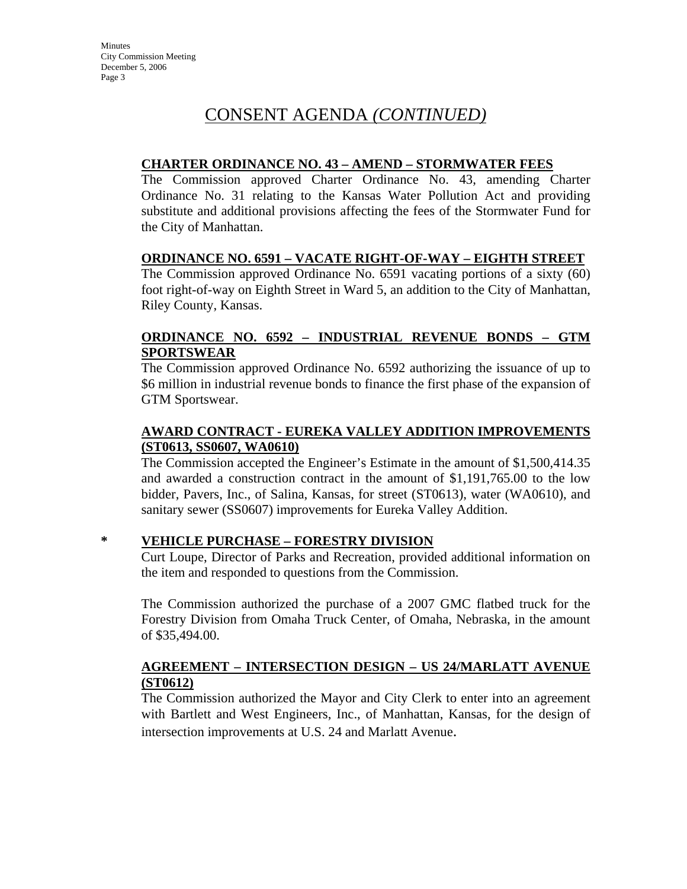# CONSENT AGENDA *(CONTINUED)*

### **CHARTER ORDINANCE NO. 43 – AMEND – STORMWATER FEES**

The Commission approved Charter Ordinance No. 43, amending Charter Ordinance No. 31 relating to the Kansas Water Pollution Act and providing substitute and additional provisions affecting the fees of the Stormwater Fund for the City of Manhattan.

## **ORDINANCE NO. 6591 – VACATE RIGHT-OF-WAY – EIGHTH STREET**

The Commission approved Ordinance No. 6591 vacating portions of a sixty (60) foot right-of-way on Eighth Street in Ward 5, an addition to the City of Manhattan, Riley County, Kansas.

#### **ORDINANCE NO. 6592 – INDUSTRIAL REVENUE BONDS – GTM SPORTSWEAR**

The Commission approved Ordinance No. 6592 authorizing the issuance of up to \$6 million in industrial revenue bonds to finance the first phase of the expansion of GTM Sportswear.

## **AWARD CONTRACT - EUREKA VALLEY ADDITION IMPROVEMENTS (ST0613, SS0607, WA0610)**

The Commission accepted the Engineer's Estimate in the amount of \$1,500,414.35 and awarded a construction contract in the amount of \$1,191,765.00 to the low bidder, Pavers, Inc., of Salina, Kansas, for street (ST0613), water (WA0610), and sanitary sewer (SS0607) improvements for Eureka Valley Addition.

## **\* VEHICLE PURCHASE – FORESTRY DIVISION**

Curt Loupe, Director of Parks and Recreation, provided additional information on the item and responded to questions from the Commission.

The Commission authorized the purchase of a 2007 GMC flatbed truck for the Forestry Division from Omaha Truck Center, of Omaha, Nebraska, in the amount of \$35,494.00.

## **AGREEMENT – INTERSECTION DESIGN – US 24/MARLATT AVENUE (ST0612)**

The Commission authorized the Mayor and City Clerk to enter into an agreement with Bartlett and West Engineers, Inc., of Manhattan, Kansas, for the design of intersection improvements at U.S. 24 and Marlatt Avenue.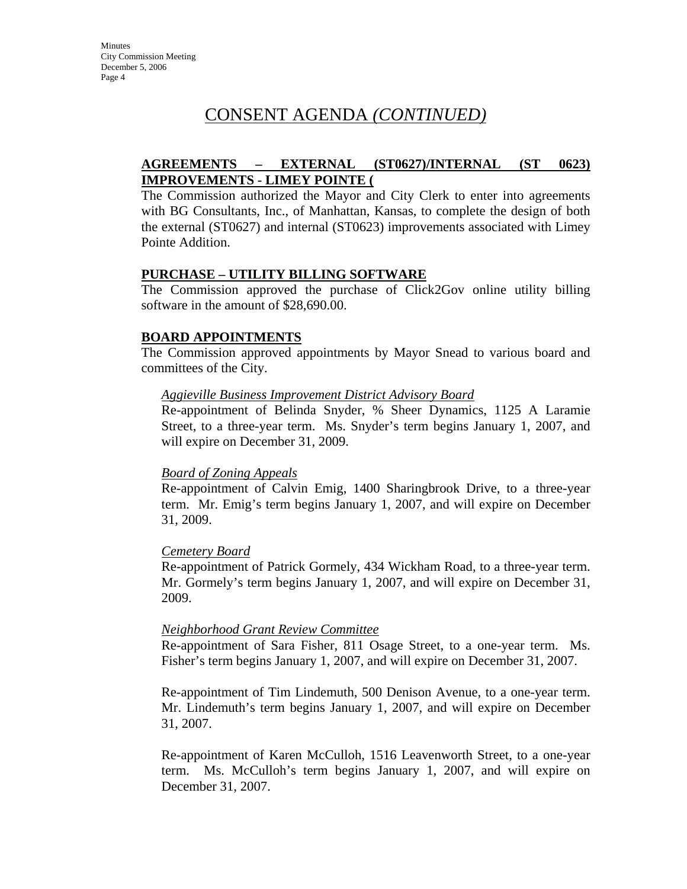# CONSENT AGENDA *(CONTINUED)*

## **AGREEMENTS – EXTERNAL (ST0627)/INTERNAL (ST 0623) IMPROVEMENTS - LIMEY POINTE (**

The Commission authorized the Mayor and City Clerk to enter into agreements with BG Consultants, Inc., of Manhattan, Kansas, to complete the design of both the external (ST0627) and internal (ST0623) improvements associated with Limey Pointe Addition.

#### **PURCHASE – UTILITY BILLING SOFTWARE**

The Commission approved the purchase of Click2Gov online utility billing software in the amount of \$28,690.00.

#### **BOARD APPOINTMENTS**

The Commission approved appointments by Mayor Snead to various board and committees of the City.

#### *Aggieville Business Improvement District Advisory Board*

Re-appointment of Belinda Snyder, % Sheer Dynamics, 1125 A Laramie Street, to a three-year term. Ms. Snyder's term begins January 1, 2007, and will expire on December 31, 2009.

#### *Board of Zoning Appeals*

Re-appointment of Calvin Emig, 1400 Sharingbrook Drive, to a three-year term. Mr. Emig's term begins January 1, 2007, and will expire on December 31, 2009.

#### *Cemetery Board*

Re-appointment of Patrick Gormely, 434 Wickham Road, to a three-year term. Mr. Gormely's term begins January 1, 2007, and will expire on December 31, 2009.

#### *Neighborhood Grant Review Committee*

Re-appointment of Sara Fisher, 811 Osage Street, to a one-year term. Ms. Fisher's term begins January 1, 2007, and will expire on December 31, 2007.

Re-appointment of Tim Lindemuth, 500 Denison Avenue, to a one-year term. Mr. Lindemuth's term begins January 1, 2007, and will expire on December 31, 2007.

Re-appointment of Karen McCulloh, 1516 Leavenworth Street, to a one-year term. Ms. McCulloh's term begins January 1, 2007, and will expire on December 31, 2007.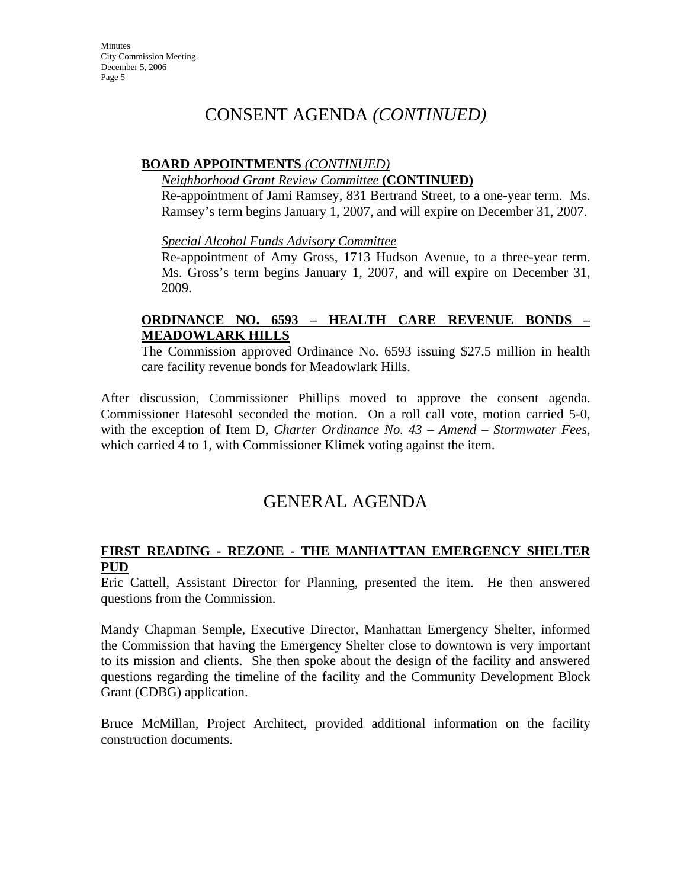# CONSENT AGENDA *(CONTINUED)*

#### **BOARD APPOINTMENTS** *(CONTINUED)*

#### *Neighborhood Grant Review Committee* **(CONTINUED)**

Re-appointment of Jami Ramsey, 831 Bertrand Street, to a one-year term. Ms. Ramsey's term begins January 1, 2007, and will expire on December 31, 2007.

*Special Alcohol Funds Advisory Committee*

Re-appointment of Amy Gross, 1713 Hudson Avenue, to a three-year term. Ms. Gross's term begins January 1, 2007, and will expire on December 31, 2009.

### **ORDINANCE NO. 6593 – HEALTH CARE REVENUE BONDS – MEADOWLARK HILLS**

The Commission approved Ordinance No. 6593 issuing \$27.5 million in health care facility revenue bonds for Meadowlark Hills.

After discussion, Commissioner Phillips moved to approve the consent agenda. Commissioner Hatesohl seconded the motion. On a roll call vote, motion carried 5-0, with the exception of Item D, *Charter Ordinance No. 43 – Amend – Stormwater Fees,* which carried 4 to 1, with Commissioner Klimek voting against the item.

# GENERAL AGENDA

#### **FIRST READING - REZONE - THE MANHATTAN EMERGENCY SHELTER PUD**

Eric Cattell, Assistant Director for Planning, presented the item. He then answered questions from the Commission.

Mandy Chapman Semple, Executive Director, Manhattan Emergency Shelter, informed the Commission that having the Emergency Shelter close to downtown is very important to its mission and clients. She then spoke about the design of the facility and answered questions regarding the timeline of the facility and the Community Development Block Grant (CDBG) application.

Bruce McMillan, Project Architect, provided additional information on the facility construction documents.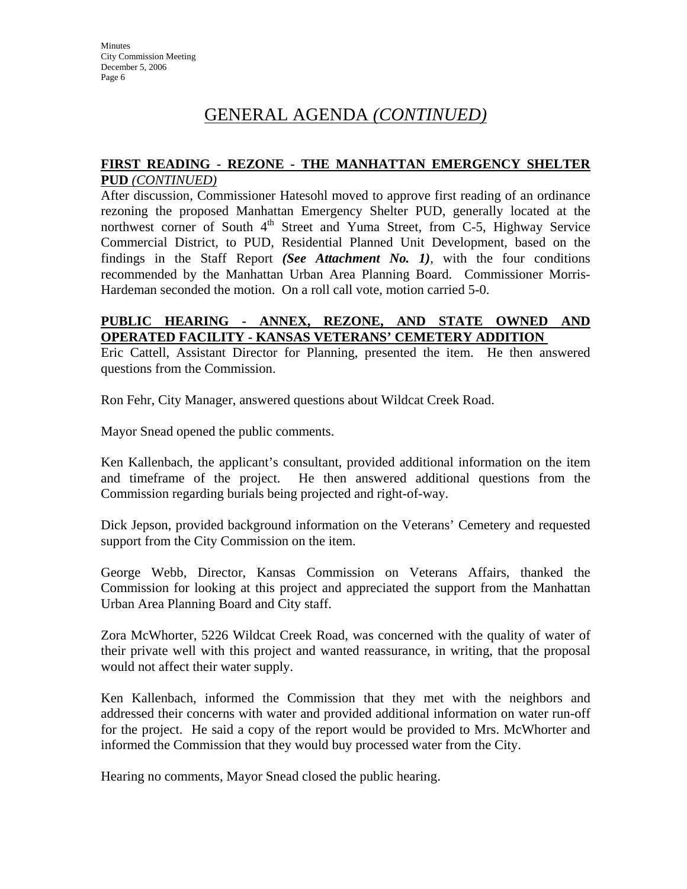# GENERAL AGENDA *(CONTINUED)*

#### **FIRST READING - REZONE - THE MANHATTAN EMERGENCY SHELTER PUD** *(CONTINUED)*

After discussion, Commissioner Hatesohl moved to approve first reading of an ordinance rezoning the proposed Manhattan Emergency Shelter PUD, generally located at the northwest corner of South  $4<sup>th</sup>$  Street and Yuma Street, from C-5, Highway Service Commercial District, to PUD, Residential Planned Unit Development, based on the findings in the Staff Report *(See Attachment No. 1)*, with the four conditions recommended by the Manhattan Urban Area Planning Board. Commissioner Morris-Hardeman seconded the motion. On a roll call vote, motion carried 5-0.

#### **PUBLIC HEARING - ANNEX, REZONE, AND STATE OWNED AND OPERATED FACILITY - KANSAS VETERANS' CEMETERY ADDITION**

Eric Cattell, Assistant Director for Planning, presented the item. He then answered questions from the Commission.

Ron Fehr, City Manager, answered questions about Wildcat Creek Road.

Mayor Snead opened the public comments.

Ken Kallenbach, the applicant's consultant, provided additional information on the item and timeframe of the project. He then answered additional questions from the Commission regarding burials being projected and right-of-way.

Dick Jepson, provided background information on the Veterans' Cemetery and requested support from the City Commission on the item.

George Webb, Director, Kansas Commission on Veterans Affairs, thanked the Commission for looking at this project and appreciated the support from the Manhattan Urban Area Planning Board and City staff.

Zora McWhorter, 5226 Wildcat Creek Road, was concerned with the quality of water of their private well with this project and wanted reassurance, in writing, that the proposal would not affect their water supply.

Ken Kallenbach, informed the Commission that they met with the neighbors and addressed their concerns with water and provided additional information on water run-off for the project. He said a copy of the report would be provided to Mrs. McWhorter and informed the Commission that they would buy processed water from the City.

Hearing no comments, Mayor Snead closed the public hearing.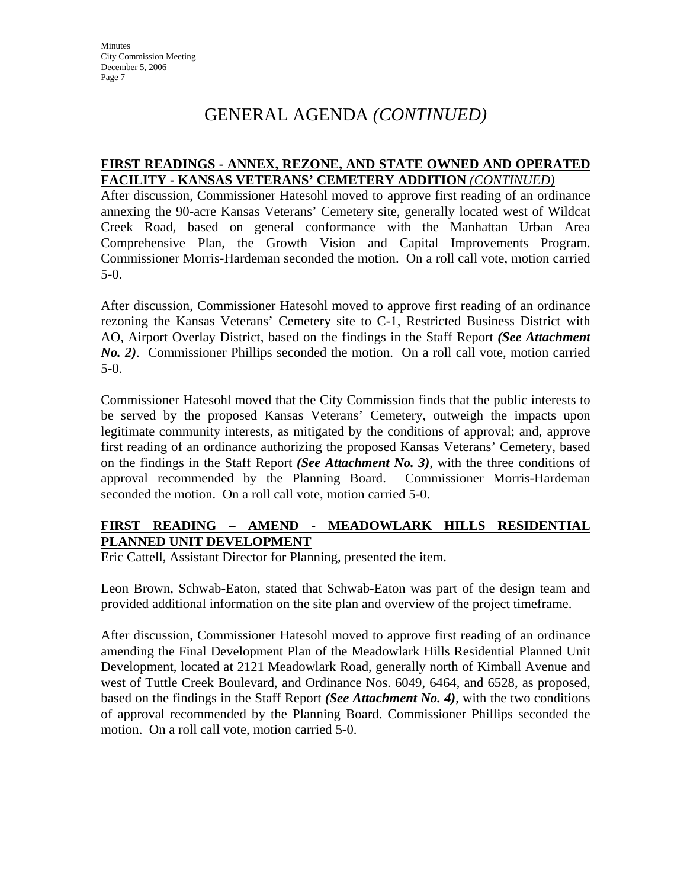# GENERAL AGENDA *(CONTINUED)*

#### **FIRST READINGS - ANNEX, REZONE, AND STATE OWNED AND OPERATED FACILITY - KANSAS VETERANS' CEMETERY ADDITION** *(CONTINUED)*

After discussion, Commissioner Hatesohl moved to approve first reading of an ordinance annexing the 90-acre Kansas Veterans' Cemetery site, generally located west of Wildcat Creek Road, based on general conformance with the Manhattan Urban Area Comprehensive Plan, the Growth Vision and Capital Improvements Program. Commissioner Morris-Hardeman seconded the motion. On a roll call vote, motion carried 5-0.

After discussion, Commissioner Hatesohl moved to approve first reading of an ordinance rezoning the Kansas Veterans' Cemetery site to C-1, Restricted Business District with AO, Airport Overlay District, based on the findings in the Staff Report *(See Attachment No. 2)*. Commissioner Phillips seconded the motion. On a roll call vote, motion carried 5-0.

Commissioner Hatesohl moved that the City Commission finds that the public interests to be served by the proposed Kansas Veterans' Cemetery, outweigh the impacts upon legitimate community interests, as mitigated by the conditions of approval; and, approve first reading of an ordinance authorizing the proposed Kansas Veterans' Cemetery, based on the findings in the Staff Report *(See Attachment No. 3)*, with the three conditions of approval recommended by the Planning Board. Commissioner Morris-Hardeman seconded the motion. On a roll call vote, motion carried 5-0.

## **FIRST READING – AMEND - MEADOWLARK HILLS RESIDENTIAL PLANNED UNIT DEVELOPMENT**

Eric Cattell, Assistant Director for Planning, presented the item.

Leon Brown, Schwab-Eaton, stated that Schwab-Eaton was part of the design team and provided additional information on the site plan and overview of the project timeframe.

After discussion, Commissioner Hatesohl moved to approve first reading of an ordinance amending the Final Development Plan of the Meadowlark Hills Residential Planned Unit Development, located at 2121 Meadowlark Road, generally north of Kimball Avenue and west of Tuttle Creek Boulevard, and Ordinance Nos. 6049, 6464, and 6528, as proposed, based on the findings in the Staff Report *(See Attachment No. 4)*, with the two conditions of approval recommended by the Planning Board. Commissioner Phillips seconded the motion. On a roll call vote, motion carried 5-0.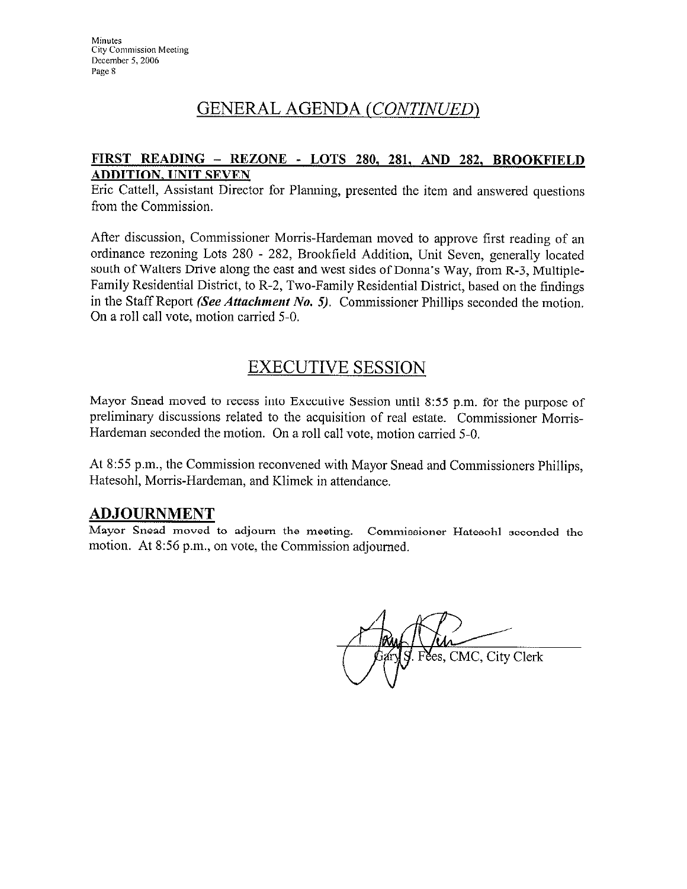# **GENERAL AGENDA (CONTINUED)**

### FIRST READING - REZONE - LOTS 280, 281, AND 282, BROOKFIELD **ADDITION, UNIT SEVEN**

Eric Cattell, Assistant Director for Planning, presented the item and answered questions from the Commission.

After discussion, Commissioner Morris-Hardeman moved to approve first reading of an ordinance rezoning Lots 280 - 282, Brookfield Addition, Unit Seven, generally located south of Walters Drive along the east and west sides of Donna's Way, from R-3, Multiple-Family Residential District, to R-2, Two-Family Residential District, based on the findings in the Staff Report (See Attachment No. 5). Commissioner Phillips seconded the motion. On a roll call vote, motion carried 5-0.

# **EXECUTIVE SESSION**

Mayor Snead moved to recess into Executive Session until 8:55 p.m. for the purpose of preliminary discussions related to the acquisition of real estate. Commissioner Morris-Hardeman seconded the motion. On a roll call vote, motion carried 5-0.

At 8:55 p.m., the Commission reconvened with Mayor Snead and Commissioners Phillips, Hatesohl, Morris-Hardeman, and Klimek in attendance.

## **ADJOURNMENT**

Mayor Snead moved to adjourn the meeting. Commissioner Hatesohl seconded the motion. At 8:56 p.m., on vote, the Commission adjourned.

Fees, CMC, City Clerk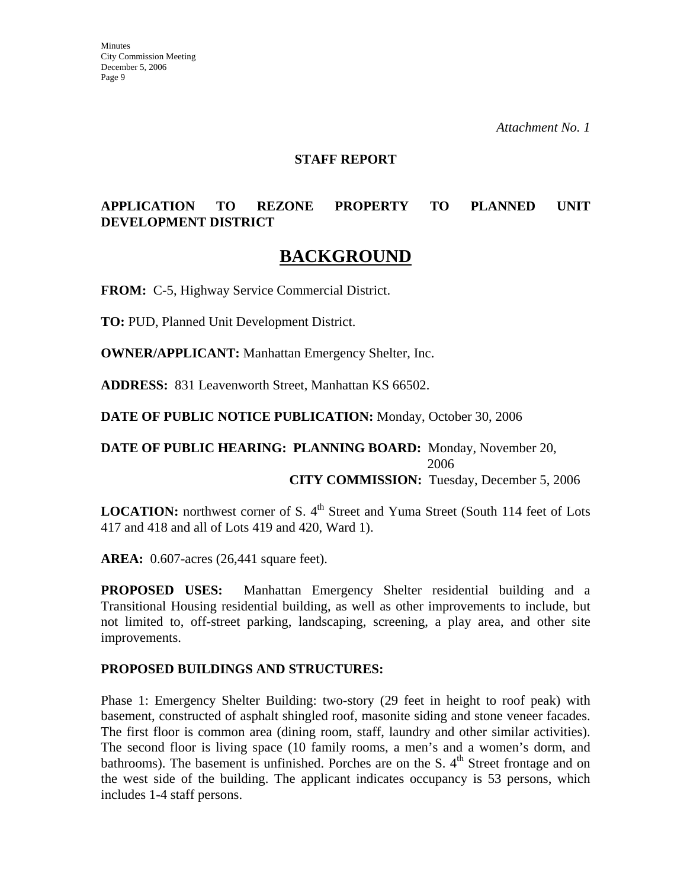#### **STAFF REPORT**

## **APPLICATION TO REZONE PROPERTY TO PLANNED UNIT DEVELOPMENT DISTRICT**

# **BACKGROUND**

**FROM:** C-5, Highway Service Commercial District.

**TO:** PUD, Planned Unit Development District.

**OWNER/APPLICANT:** Manhattan Emergency Shelter, Inc.

**ADDRESS:** 831 Leavenworth Street, Manhattan KS 66502.

**DATE OF PUBLIC NOTICE PUBLICATION:** Monday, October 30, 2006

#### **DATE OF PUBLIC HEARING: PLANNING BOARD:** Monday, November 20, 2006 **CITY COMMISSION:** Tuesday, December 5, 2006

**LOCATION:** northwest corner of S. 4<sup>th</sup> Street and Yuma Street (South 114 feet of Lots 417 and 418 and all of Lots 419 and 420, Ward 1).

**AREA:** 0.607-acres (26,441 square feet).

**PROPOSED USES:** Manhattan Emergency Shelter residential building and a Transitional Housing residential building, as well as other improvements to include, but not limited to, off-street parking, landscaping, screening, a play area, and other site improvements.

#### **PROPOSED BUILDINGS AND STRUCTURES:**

Phase 1: Emergency Shelter Building: two-story (29 feet in height to roof peak) with basement, constructed of asphalt shingled roof, masonite siding and stone veneer facades. The first floor is common area (dining room, staff, laundry and other similar activities). The second floor is living space (10 family rooms, a men's and a women's dorm, and bathrooms). The basement is unfinished. Porches are on the S.  $4<sup>th</sup>$  Street frontage and on the west side of the building. The applicant indicates occupancy is 53 persons, which includes 1-4 staff persons.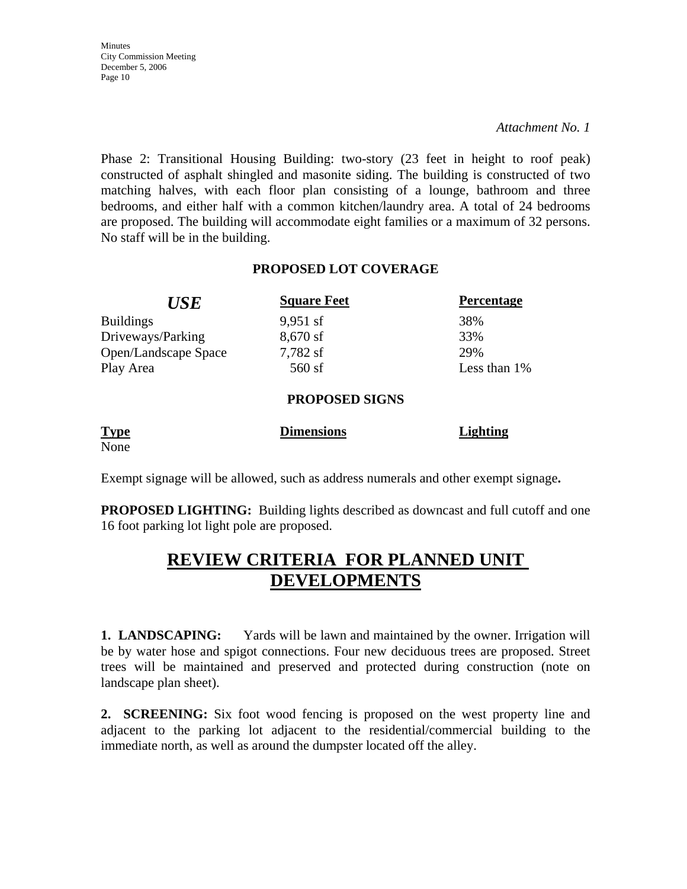*Attachment No. 1* 

Phase 2: Transitional Housing Building: two-story (23 feet in height to roof peak) constructed of asphalt shingled and masonite siding. The building is constructed of two matching halves, with each floor plan consisting of a lounge, bathroom and three bedrooms, and either half with a common kitchen/laundry area. A total of 24 bedrooms are proposed. The building will accommodate eight families or a maximum of 32 persons. No staff will be in the building.

#### **PROPOSED LOT COVERAGE**

| <b>USE</b>           | <b>Square Feet</b>    | <b>Percentage</b> |
|----------------------|-----------------------|-------------------|
| <b>Buildings</b>     | $9,951$ sf            | 38%               |
| Driveways/Parking    | $8,670$ sf            | 33%               |
| Open/Landscape Space | 7,782 sf              | 29%               |
| Play Area            | $560$ sf              | Less than 1%      |
|                      | <b>PROPOSED SIGNS</b> |                   |
|                      |                       |                   |

| <b>Type</b> | <b>Dimensions</b> | <b>Lighting</b> |
|-------------|-------------------|-----------------|
| None        |                   |                 |

Exempt signage will be allowed, such as address numerals and other exempt signage**.** 

**PROPOSED LIGHTING:** Building lights described as downcast and full cutoff and one 16 foot parking lot light pole are proposed.

# **REVIEW CRITERIA FOR PLANNED UNIT DEVELOPMENTS**

**1. LANDSCAPING:** Yards will be lawn and maintained by the owner. Irrigation will be by water hose and spigot connections. Four new deciduous trees are proposed. Street trees will be maintained and preserved and protected during construction (note on landscape plan sheet).

**2. SCREENING:** Six foot wood fencing is proposed on the west property line and adjacent to the parking lot adjacent to the residential/commercial building to the immediate north, as well as around the dumpster located off the alley.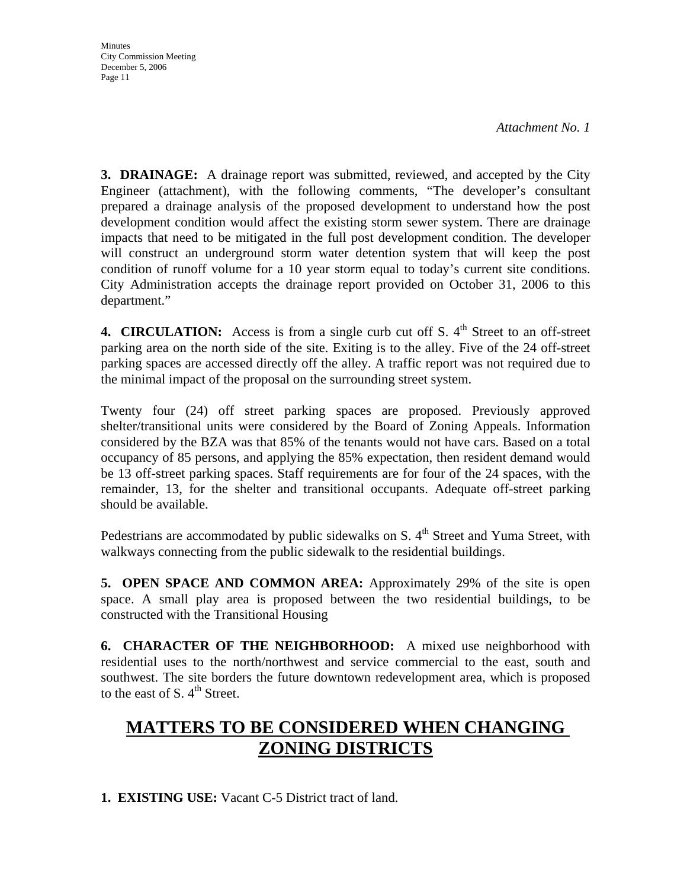**Minutes** City Commission Meeting December 5, 2006 Page 11

**3. DRAINAGE:** A drainage report was submitted, reviewed, and accepted by the City Engineer (attachment), with the following comments, "The developer's consultant prepared a drainage analysis of the proposed development to understand how the post development condition would affect the existing storm sewer system. There are drainage impacts that need to be mitigated in the full post development condition. The developer will construct an underground storm water detention system that will keep the post condition of runoff volume for a 10 year storm equal to today's current site conditions. City Administration accepts the drainage report provided on October 31, 2006 to this department."

**4. CIRCULATION:** Access is from a single curb cut off S.  $4<sup>th</sup>$  Street to an off-street parking area on the north side of the site. Exiting is to the alley. Five of the 24 off-street parking spaces are accessed directly off the alley. A traffic report was not required due to the minimal impact of the proposal on the surrounding street system.

Twenty four (24) off street parking spaces are proposed. Previously approved shelter/transitional units were considered by the Board of Zoning Appeals. Information considered by the BZA was that 85% of the tenants would not have cars. Based on a total occupancy of 85 persons, and applying the 85% expectation, then resident demand would be 13 off-street parking spaces. Staff requirements are for four of the 24 spaces, with the remainder, 13, for the shelter and transitional occupants. Adequate off-street parking should be available.

Pedestrians are accommodated by public sidewalks on S.  $4<sup>th</sup>$  Street and Yuma Street, with walkways connecting from the public sidewalk to the residential buildings.

**5. OPEN SPACE AND COMMON AREA:** Approximately 29% of the site is open space. A small play area is proposed between the two residential buildings, to be constructed with the Transitional Housing

**6. CHARACTER OF THE NEIGHBORHOOD:** A mixed use neighborhood with residential uses to the north/northwest and service commercial to the east, south and southwest. The site borders the future downtown redevelopment area, which is proposed to the east of S.  $4^{\text{th}}$  Street.

# **MATTERS TO BE CONSIDERED WHEN CHANGING ZONING DISTRICTS**

**1. EXISTING USE:** Vacant C-5 District tract of land.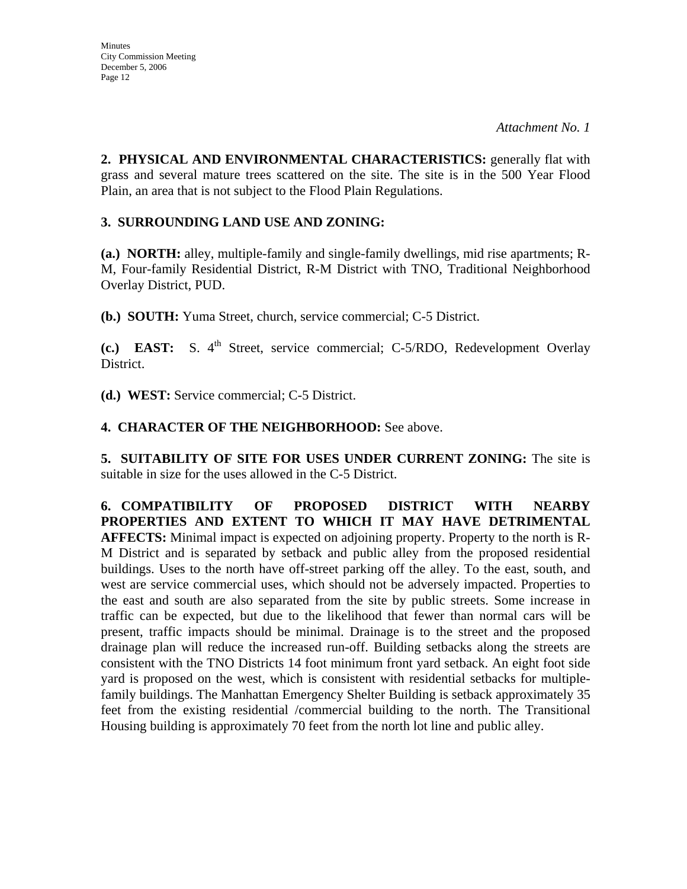**2. PHYSICAL AND ENVIRONMENTAL CHARACTERISTICS:** generally flat with grass and several mature trees scattered on the site. The site is in the 500 Year Flood Plain, an area that is not subject to the Flood Plain Regulations.

#### **3. SURROUNDING LAND USE AND ZONING:**

**(a.) NORTH:** alley, multiple-family and single-family dwellings, mid rise apartments; R-M, Four-family Residential District, R-M District with TNO, Traditional Neighborhood Overlay District, PUD.

**(b.) SOUTH:** Yuma Street, church, service commercial; C-5 District.

**(c.) EAST:** S. 4<sup>th</sup> Street, service commercial; C-5/RDO, Redevelopment Overlay District.

**(d.) WEST:** Service commercial; C-5 District.

#### **4. CHARACTER OF THE NEIGHBORHOOD:** See above.

**5. SUITABILITY OF SITE FOR USES UNDER CURRENT ZONING:** The site is suitable in size for the uses allowed in the C-5 District.

**6. COMPATIBILITY OF PROPOSED DISTRICT WITH NEARBY PROPERTIES AND EXTENT TO WHICH IT MAY HAVE DETRIMENTAL AFFECTS:** Minimal impact is expected on adjoining property. Property to the north is R-M District and is separated by setback and public alley from the proposed residential buildings. Uses to the north have off-street parking off the alley. To the east, south, and west are service commercial uses, which should not be adversely impacted. Properties to the east and south are also separated from the site by public streets. Some increase in traffic can be expected, but due to the likelihood that fewer than normal cars will be present, traffic impacts should be minimal. Drainage is to the street and the proposed drainage plan will reduce the increased run-off. Building setbacks along the streets are consistent with the TNO Districts 14 foot minimum front yard setback. An eight foot side yard is proposed on the west, which is consistent with residential setbacks for multiplefamily buildings. The Manhattan Emergency Shelter Building is setback approximately 35 feet from the existing residential /commercial building to the north. The Transitional Housing building is approximately 70 feet from the north lot line and public alley.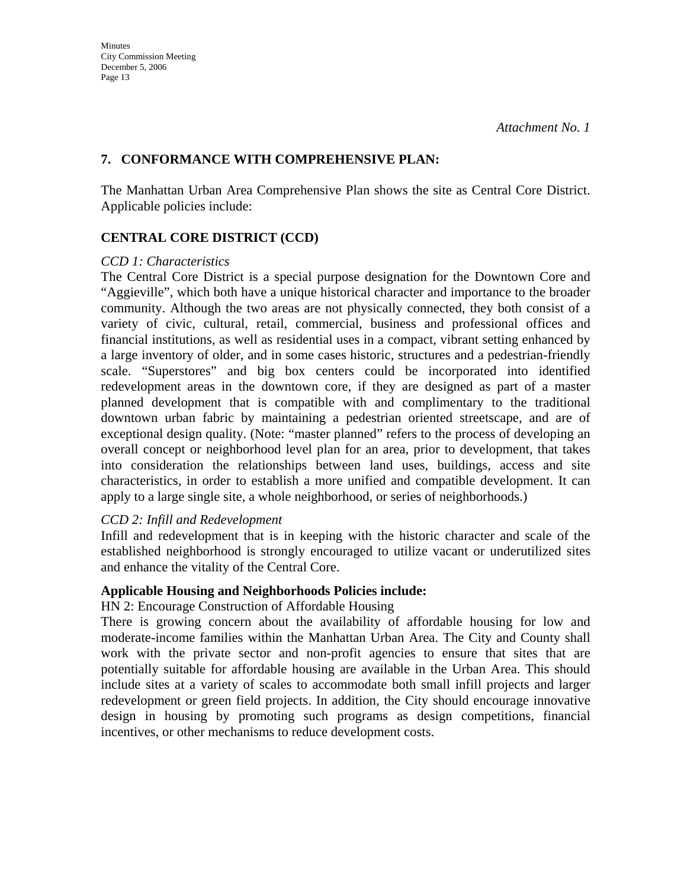#### **7. CONFORMANCE WITH COMPREHENSIVE PLAN:**

The Manhattan Urban Area Comprehensive Plan shows the site as Central Core District. Applicable policies include:

#### **CENTRAL CORE DISTRICT (CCD)**

#### *CCD 1: Characteristics*

The Central Core District is a special purpose designation for the Downtown Core and "Aggieville", which both have a unique historical character and importance to the broader community. Although the two areas are not physically connected, they both consist of a variety of civic, cultural, retail, commercial, business and professional offices and financial institutions, as well as residential uses in a compact, vibrant setting enhanced by a large inventory of older, and in some cases historic, structures and a pedestrian-friendly scale. "Superstores" and big box centers could be incorporated into identified redevelopment areas in the downtown core, if they are designed as part of a master planned development that is compatible with and complimentary to the traditional downtown urban fabric by maintaining a pedestrian oriented streetscape, and are of exceptional design quality. (Note: "master planned" refers to the process of developing an overall concept or neighborhood level plan for an area, prior to development, that takes into consideration the relationships between land uses, buildings, access and site characteristics, in order to establish a more unified and compatible development. It can apply to a large single site, a whole neighborhood, or series of neighborhoods.)

#### *CCD 2: Infill and Redevelopment*

Infill and redevelopment that is in keeping with the historic character and scale of the established neighborhood is strongly encouraged to utilize vacant or underutilized sites and enhance the vitality of the Central Core.

#### **Applicable Housing and Neighborhoods Policies include:**

HN 2: Encourage Construction of Affordable Housing

There is growing concern about the availability of affordable housing for low and moderate-income families within the Manhattan Urban Area. The City and County shall work with the private sector and non-profit agencies to ensure that sites that are potentially suitable for affordable housing are available in the Urban Area. This should include sites at a variety of scales to accommodate both small infill projects and larger redevelopment or green field projects. In addition, the City should encourage innovative design in housing by promoting such programs as design competitions, financial incentives, or other mechanisms to reduce development costs.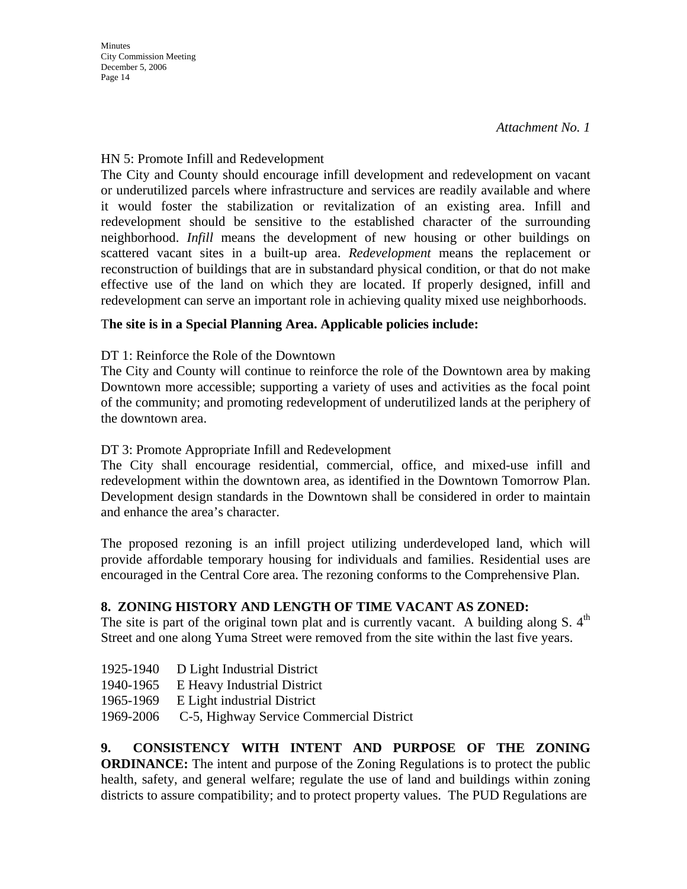**Minutes** City Commission Meeting December 5, 2006 Page 14

#### HN 5: Promote Infill and Redevelopment

The City and County should encourage infill development and redevelopment on vacant or underutilized parcels where infrastructure and services are readily available and where it would foster the stabilization or revitalization of an existing area. Infill and redevelopment should be sensitive to the established character of the surrounding neighborhood. *Infill* means the development of new housing or other buildings on scattered vacant sites in a built-up area. *Redevelopment* means the replacement or reconstruction of buildings that are in substandard physical condition, or that do not make effective use of the land on which they are located. If properly designed, infill and redevelopment can serve an important role in achieving quality mixed use neighborhoods.

## T**he site is in a Special Planning Area. Applicable policies include:**

#### DT 1: Reinforce the Role of the Downtown

The City and County will continue to reinforce the role of the Downtown area by making Downtown more accessible; supporting a variety of uses and activities as the focal point of the community; and promoting redevelopment of underutilized lands at the periphery of the downtown area.

### DT 3: Promote Appropriate Infill and Redevelopment

The City shall encourage residential, commercial, office, and mixed-use infill and redevelopment within the downtown area, as identified in the Downtown Tomorrow Plan. Development design standards in the Downtown shall be considered in order to maintain and enhance the area's character.

The proposed rezoning is an infill project utilizing underdeveloped land, which will provide affordable temporary housing for individuals and families. Residential uses are encouraged in the Central Core area. The rezoning conforms to the Comprehensive Plan.

## **8. ZONING HISTORY AND LENGTH OF TIME VACANT AS ZONED:**

The site is part of the original town plat and is currently vacant. A building along  $S$ .  $4<sup>th</sup>$ Street and one along Yuma Street were removed from the site within the last five years.

- 1925-1940 D Light Industrial District
- 1940-1965 E Heavy Industrial District
- 1965-1969 E Light industrial District
- 1969-2006 C-5, Highway Service Commercial District

**9. CONSISTENCY WITH INTENT AND PURPOSE OF THE ZONING ORDINANCE:** The intent and purpose of the Zoning Regulations is to protect the public health, safety, and general welfare; regulate the use of land and buildings within zoning districts to assure compatibility; and to protect property values. The PUD Regulations are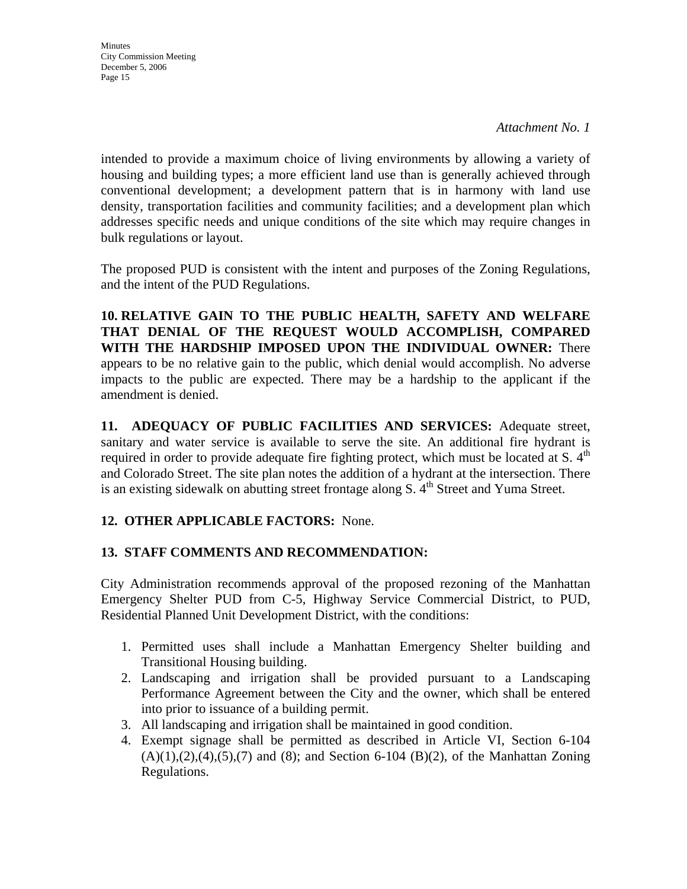**Minutes** City Commission Meeting December 5, 2006 Page 15

intended to provide a maximum choice of living environments by allowing a variety of housing and building types; a more efficient land use than is generally achieved through conventional development; a development pattern that is in harmony with land use density, transportation facilities and community facilities; and a development plan which addresses specific needs and unique conditions of the site which may require changes in bulk regulations or layout.

The proposed PUD is consistent with the intent and purposes of the Zoning Regulations, and the intent of the PUD Regulations.

**10. RELATIVE GAIN TO THE PUBLIC HEALTH, SAFETY AND WELFARE THAT DENIAL OF THE REQUEST WOULD ACCOMPLISH, COMPARED WITH THE HARDSHIP IMPOSED UPON THE INDIVIDUAL OWNER:** There appears to be no relative gain to the public, which denial would accomplish. No adverse impacts to the public are expected. There may be a hardship to the applicant if the amendment is denied.

**11. ADEQUACY OF PUBLIC FACILITIES AND SERVICES:** Adequate street, sanitary and water service is available to serve the site. An additional fire hydrant is required in order to provide adequate fire fighting protect, which must be located at S.  $4<sup>th</sup>$ and Colorado Street. The site plan notes the addition of a hydrant at the intersection. There is an existing sidewalk on abutting street frontage along  $S$ .  $4<sup>th</sup>$  Street and Yuma Street.

## **12. OTHER APPLICABLE FACTORS:** None.

#### **13. STAFF COMMENTS AND RECOMMENDATION:**

City Administration recommends approval of the proposed rezoning of the Manhattan Emergency Shelter PUD from C-5, Highway Service Commercial District, to PUD, Residential Planned Unit Development District, with the conditions:

- 1. Permitted uses shall include a Manhattan Emergency Shelter building and Transitional Housing building.
- 2. Landscaping and irrigation shall be provided pursuant to a Landscaping Performance Agreement between the City and the owner, which shall be entered into prior to issuance of a building permit.
- 3. All landscaping and irrigation shall be maintained in good condition.
- 4. Exempt signage shall be permitted as described in Article VI, Section 6-104  $(A)(1),(2),(4),(5),(7)$  and  $(8)$ ; and Section 6-104  $(B)(2)$ , of the Manhattan Zoning Regulations.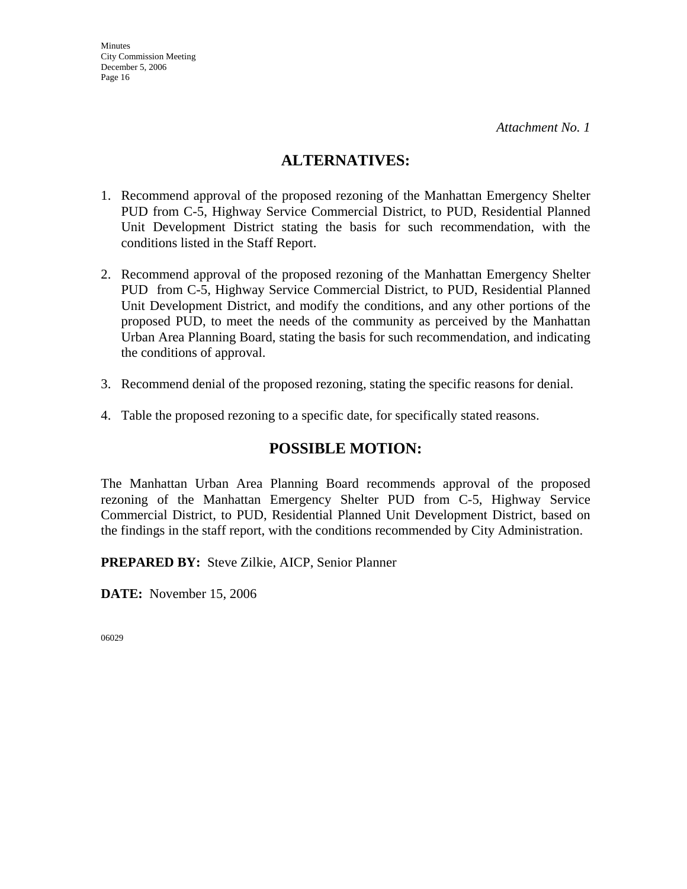## **ALTERNATIVES:**

- 1. Recommend approval of the proposed rezoning of the Manhattan Emergency Shelter PUD from C-5, Highway Service Commercial District, to PUD, Residential Planned Unit Development District stating the basis for such recommendation, with the conditions listed in the Staff Report.
- 2. Recommend approval of the proposed rezoning of the Manhattan Emergency Shelter PUD from C-5, Highway Service Commercial District, to PUD, Residential Planned Unit Development District, and modify the conditions, and any other portions of the proposed PUD, to meet the needs of the community as perceived by the Manhattan Urban Area Planning Board, stating the basis for such recommendation, and indicating the conditions of approval.
- 3. Recommend denial of the proposed rezoning, stating the specific reasons for denial.
- 4. Table the proposed rezoning to a specific date, for specifically stated reasons.

## **POSSIBLE MOTION:**

The Manhattan Urban Area Planning Board recommends approval of the proposed rezoning of the Manhattan Emergency Shelter PUD from C-5, Highway Service Commercial District, to PUD, Residential Planned Unit Development District, based on the findings in the staff report, with the conditions recommended by City Administration.

**PREPARED BY:** Steve Zilkie, AICP, Senior Planner

**DATE:** November 15, 2006

06029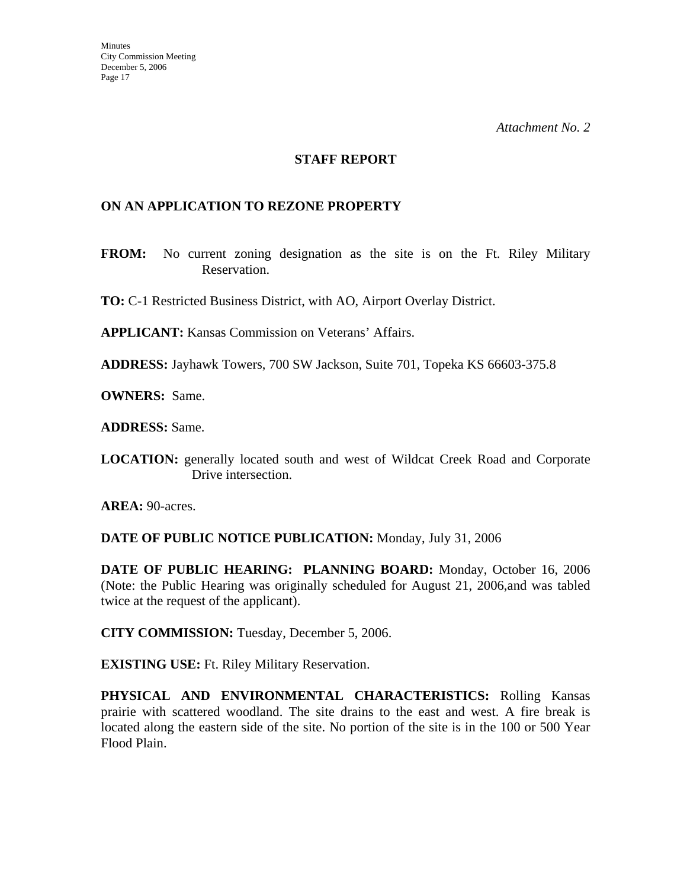#### **STAFF REPORT**

#### **ON AN APPLICATION TO REZONE PROPERTY**

**FROM:** No current zoning designation as the site is on the Ft. Riley Military Reservation.

**TO:** C-1 Restricted Business District, with AO, Airport Overlay District.

**APPLICANT:** Kansas Commission on Veterans' Affairs.

**ADDRESS:** Jayhawk Towers, 700 SW Jackson, Suite 701, Topeka KS 66603-375.8

**OWNERS:** Same.

**ADDRESS:** Same.

**LOCATION:** generally located south and west of Wildcat Creek Road and Corporate Drive intersection.

**AREA: 90-acres.** 

**DATE OF PUBLIC NOTICE PUBLICATION:** Monday, July 31, 2006

**DATE OF PUBLIC HEARING: PLANNING BOARD:** Monday, October 16, 2006 (Note: the Public Hearing was originally scheduled for August 21, 2006,and was tabled twice at the request of the applicant).

**CITY COMMISSION:** Tuesday, December 5, 2006.

**EXISTING USE:** Ft. Riley Military Reservation.

**PHYSICAL AND ENVIRONMENTAL CHARACTERISTICS:** Rolling Kansas prairie with scattered woodland. The site drains to the east and west. A fire break is located along the eastern side of the site. No portion of the site is in the 100 or 500 Year Flood Plain.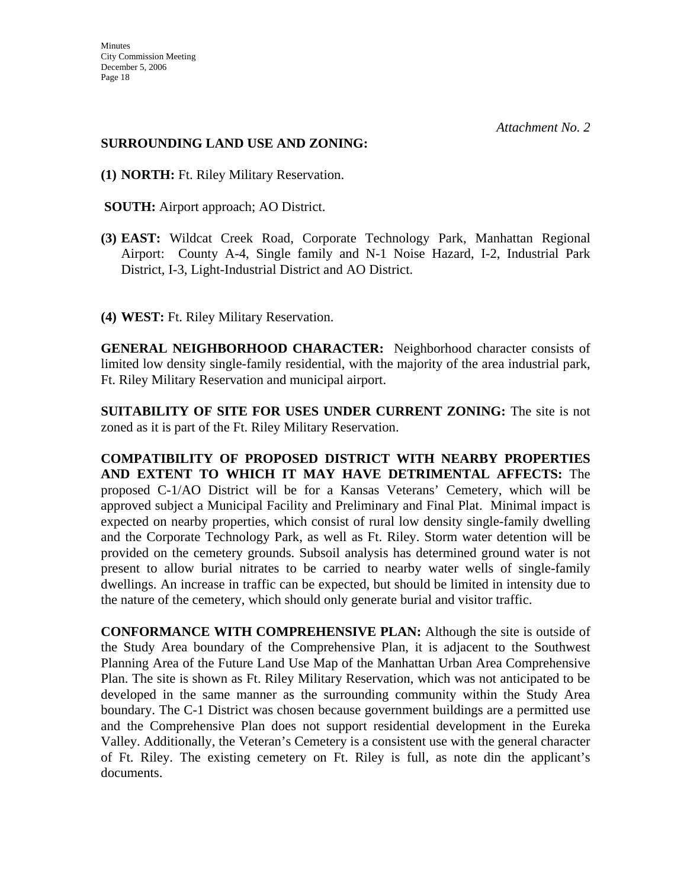#### **SURROUNDING LAND USE AND ZONING:**

- **(1) NORTH:** Ft. Riley Military Reservation.
- **SOUTH:** Airport approach; AO District.
- **(3) EAST:** Wildcat Creek Road, Corporate Technology Park, Manhattan Regional Airport: County A-4, Single family and N-1 Noise Hazard, I-2, Industrial Park District, I-3, Light-Industrial District and AO District.
- **(4) WEST:** Ft. Riley Military Reservation.

**GENERAL NEIGHBORHOOD CHARACTER:** Neighborhood character consists of limited low density single-family residential, with the majority of the area industrial park, Ft. Riley Military Reservation and municipal airport.

**SUITABILITY OF SITE FOR USES UNDER CURRENT ZONING:** The site is not zoned as it is part of the Ft. Riley Military Reservation.

**COMPATIBILITY OF PROPOSED DISTRICT WITH NEARBY PROPERTIES AND EXTENT TO WHICH IT MAY HAVE DETRIMENTAL AFFECTS:** The proposed C-1/AO District will be for a Kansas Veterans' Cemetery, which will be approved subject a Municipal Facility and Preliminary and Final Plat. Minimal impact is expected on nearby properties, which consist of rural low density single-family dwelling and the Corporate Technology Park, as well as Ft. Riley. Storm water detention will be provided on the cemetery grounds. Subsoil analysis has determined ground water is not present to allow burial nitrates to be carried to nearby water wells of single-family dwellings. An increase in traffic can be expected, but should be limited in intensity due to the nature of the cemetery, which should only generate burial and visitor traffic.

**CONFORMANCE WITH COMPREHENSIVE PLAN:** Although the site is outside of the Study Area boundary of the Comprehensive Plan, it is adjacent to the Southwest Planning Area of the Future Land Use Map of the Manhattan Urban Area Comprehensive Plan. The site is shown as Ft. Riley Military Reservation, which was not anticipated to be developed in the same manner as the surrounding community within the Study Area boundary. The C-1 District was chosen because government buildings are a permitted use and the Comprehensive Plan does not support residential development in the Eureka Valley. Additionally, the Veteran's Cemetery is a consistent use with the general character of Ft. Riley. The existing cemetery on Ft. Riley is full, as note din the applicant's documents.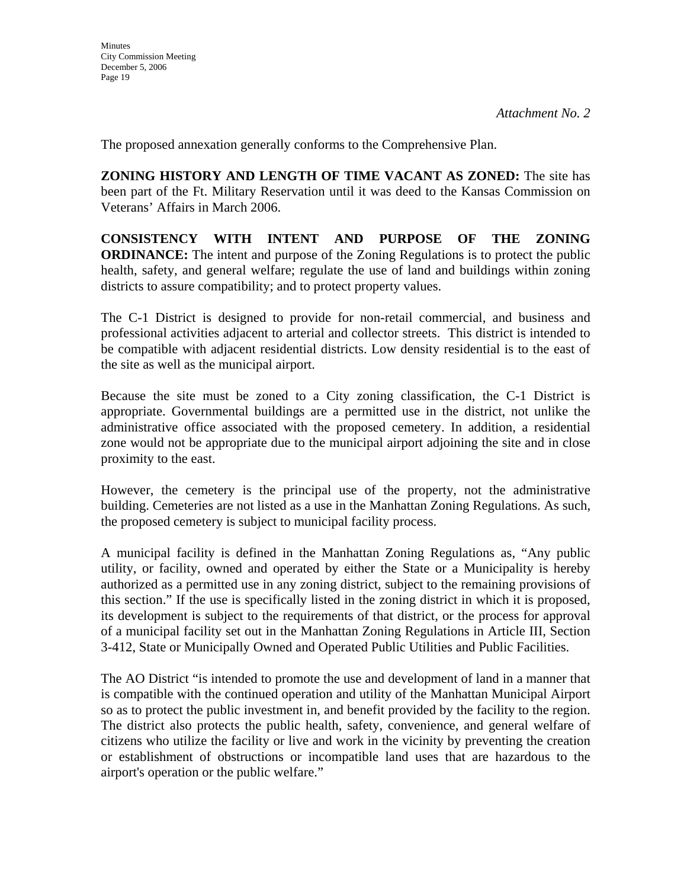**Minutes** 

The proposed annexation generally conforms to the Comprehensive Plan.

**ZONING HISTORY AND LENGTH OF TIME VACANT AS ZONED:** The site has been part of the Ft. Military Reservation until it was deed to the Kansas Commission on Veterans' Affairs in March 2006.

**CONSISTENCY WITH INTENT AND PURPOSE OF THE ZONING ORDINANCE:** The intent and purpose of the Zoning Regulations is to protect the public health, safety, and general welfare; regulate the use of land and buildings within zoning districts to assure compatibility; and to protect property values.

The C-1 District is designed to provide for non-retail commercial, and business and professional activities adjacent to arterial and collector streets. This district is intended to be compatible with adjacent residential districts. Low density residential is to the east of the site as well as the municipal airport.

Because the site must be zoned to a City zoning classification, the C-1 District is appropriate. Governmental buildings are a permitted use in the district, not unlike the administrative office associated with the proposed cemetery. In addition, a residential zone would not be appropriate due to the municipal airport adjoining the site and in close proximity to the east.

However, the cemetery is the principal use of the property, not the administrative building. Cemeteries are not listed as a use in the Manhattan Zoning Regulations. As such, the proposed cemetery is subject to municipal facility process.

A municipal facility is defined in the Manhattan Zoning Regulations as, "Any public utility, or facility, owned and operated by either the State or a Municipality is hereby authorized as a permitted use in any zoning district, subject to the remaining provisions of this section." If the use is specifically listed in the zoning district in which it is proposed, its development is subject to the requirements of that district, or the process for approval of a municipal facility set out in the Manhattan Zoning Regulations in Article III, Section 3-412, State or Municipally Owned and Operated Public Utilities and Public Facilities.

The AO District "is intended to promote the use and development of land in a manner that is compatible with the continued operation and utility of the Manhattan Municipal Airport so as to protect the public investment in, and benefit provided by the facility to the region. The district also protects the public health, safety, convenience, and general welfare of citizens who utilize the facility or live and work in the vicinity by preventing the creation or establishment of obstructions or incompatible land uses that are hazardous to the airport's operation or the public welfare."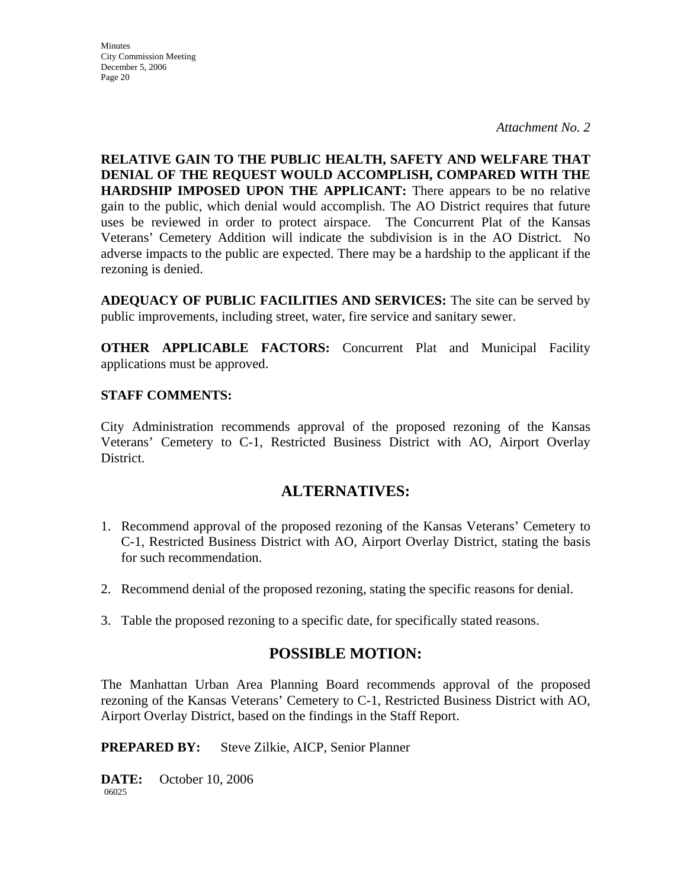*Attachment No. 2* 

**RELATIVE GAIN TO THE PUBLIC HEALTH, SAFETY AND WELFARE THAT DENIAL OF THE REQUEST WOULD ACCOMPLISH, COMPARED WITH THE HARDSHIP IMPOSED UPON THE APPLICANT:** There appears to be no relative gain to the public, which denial would accomplish. The AO District requires that future uses be reviewed in order to protect airspace. The Concurrent Plat of the Kansas Veterans' Cemetery Addition will indicate the subdivision is in the AO District. No adverse impacts to the public are expected. There may be a hardship to the applicant if the rezoning is denied.

**ADEQUACY OF PUBLIC FACILITIES AND SERVICES:** The site can be served by public improvements, including street, water, fire service and sanitary sewer.

**OTHER APPLICABLE FACTORS:** Concurrent Plat and Municipal Facility applications must be approved.

#### **STAFF COMMENTS:**

City Administration recommends approval of the proposed rezoning of the Kansas Veterans' Cemetery to C-1, Restricted Business District with AO, Airport Overlay District.

## **ALTERNATIVES:**

- 1. Recommend approval of the proposed rezoning of the Kansas Veterans' Cemetery to C-1, Restricted Business District with AO, Airport Overlay District, stating the basis for such recommendation.
- 2. Recommend denial of the proposed rezoning, stating the specific reasons for denial.
- 3. Table the proposed rezoning to a specific date, for specifically stated reasons.

## **POSSIBLE MOTION:**

The Manhattan Urban Area Planning Board recommends approval of the proposed rezoning of the Kansas Veterans' Cemetery to C-1, Restricted Business District with AO, Airport Overlay District, based on the findings in the Staff Report.

**PREPARED BY:** Steve Zilkie, AICP, Senior Planner

**DATE:** October 10, 2006 06025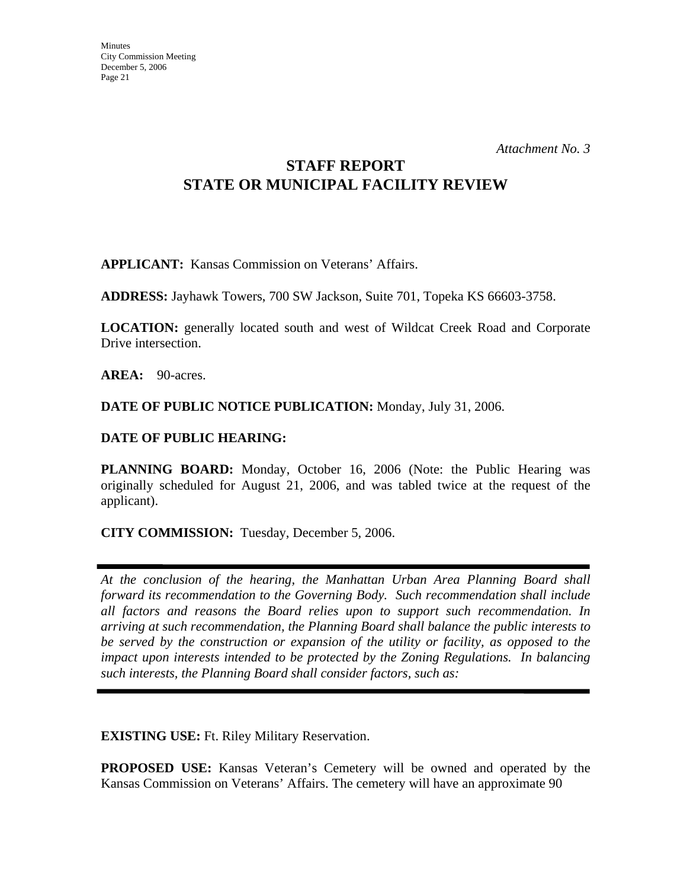# **STAFF REPORT STATE OR MUNICIPAL FACILITY REVIEW**

**APPLICANT:** Kansas Commission on Veterans' Affairs.

**ADDRESS:** Jayhawk Towers, 700 SW Jackson, Suite 701, Topeka KS 66603-3758.

**LOCATION:** generally located south and west of Wildcat Creek Road and Corporate Drive intersection.

AREA: 90-acres.

**DATE OF PUBLIC NOTICE PUBLICATION:** Monday, July 31, 2006.

#### **DATE OF PUBLIC HEARING:**

**PLANNING BOARD:** Monday, October 16, 2006 (Note: the Public Hearing was originally scheduled for August 21, 2006, and was tabled twice at the request of the applicant).

**CITY COMMISSION:** Tuesday, December 5, 2006.

*At the conclusion of the hearing, the Manhattan Urban Area Planning Board shall forward its recommendation to the Governing Body. Such recommendation shall include all factors and reasons the Board relies upon to support such recommendation. In arriving at such recommendation, the Planning Board shall balance the public interests to be served by the construction or expansion of the utility or facility, as opposed to the impact upon interests intended to be protected by the Zoning Regulations. In balancing such interests, the Planning Board shall consider factors, such as:* 

**EXISTING USE:** Ft. Riley Military Reservation.

**PROPOSED USE:** Kansas Veteran's Cemetery will be owned and operated by the Kansas Commission on Veterans' Affairs. The cemetery will have an approximate 90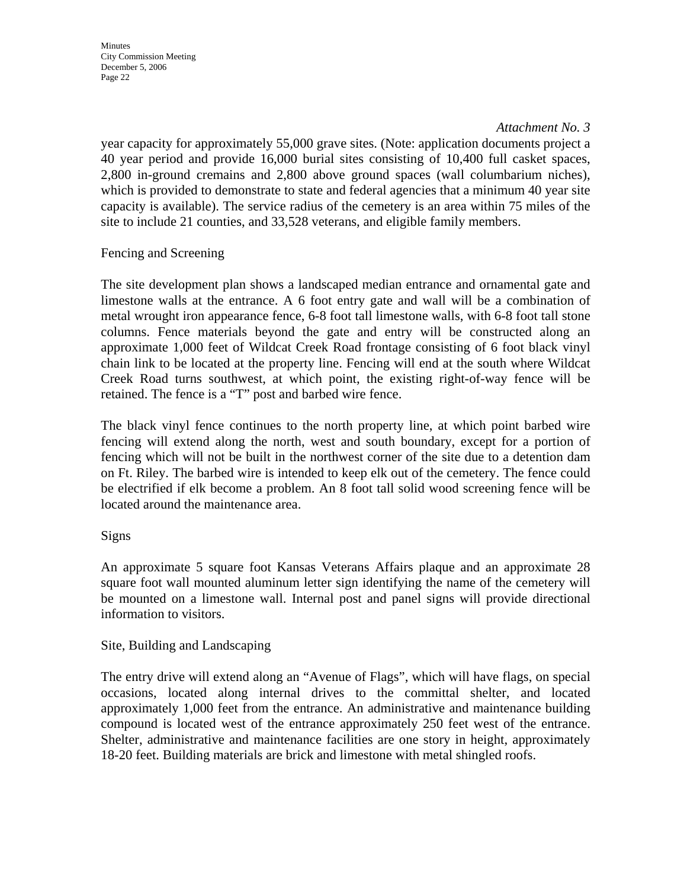#### *Attachment No. 3*

year capacity for approximately 55,000 grave sites. (Note: application documents project a 40 year period and provide 16,000 burial sites consisting of 10,400 full casket spaces, 2,800 in-ground cremains and 2,800 above ground spaces (wall columbarium niches), which is provided to demonstrate to state and federal agencies that a minimum 40 year site capacity is available). The service radius of the cemetery is an area within 75 miles of the site to include 21 counties, and 33,528 veterans, and eligible family members.

Fencing and Screening

The site development plan shows a landscaped median entrance and ornamental gate and limestone walls at the entrance. A 6 foot entry gate and wall will be a combination of metal wrought iron appearance fence, 6-8 foot tall limestone walls, with 6-8 foot tall stone columns. Fence materials beyond the gate and entry will be constructed along an approximate 1,000 feet of Wildcat Creek Road frontage consisting of 6 foot black vinyl chain link to be located at the property line. Fencing will end at the south where Wildcat Creek Road turns southwest, at which point, the existing right-of-way fence will be retained. The fence is a "T" post and barbed wire fence.

The black vinyl fence continues to the north property line, at which point barbed wire fencing will extend along the north, west and south boundary, except for a portion of fencing which will not be built in the northwest corner of the site due to a detention dam on Ft. Riley. The barbed wire is intended to keep elk out of the cemetery. The fence could be electrified if elk become a problem. An 8 foot tall solid wood screening fence will be located around the maintenance area.

#### Signs

An approximate 5 square foot Kansas Veterans Affairs plaque and an approximate 28 square foot wall mounted aluminum letter sign identifying the name of the cemetery will be mounted on a limestone wall. Internal post and panel signs will provide directional information to visitors.

#### Site, Building and Landscaping

The entry drive will extend along an "Avenue of Flags", which will have flags, on special occasions, located along internal drives to the committal shelter, and located approximately 1,000 feet from the entrance. An administrative and maintenance building compound is located west of the entrance approximately 250 feet west of the entrance. Shelter, administrative and maintenance facilities are one story in height, approximately 18-20 feet. Building materials are brick and limestone with metal shingled roofs.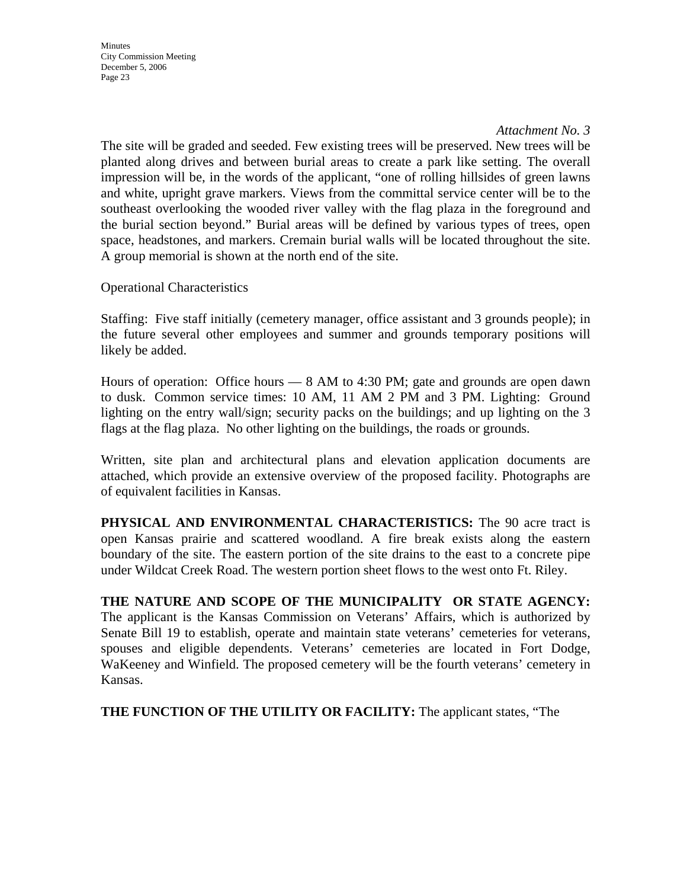#### *Attachment No. 3*

The site will be graded and seeded. Few existing trees will be preserved. New trees will be planted along drives and between burial areas to create a park like setting. The overall impression will be, in the words of the applicant, "one of rolling hillsides of green lawns and white, upright grave markers. Views from the committal service center will be to the southeast overlooking the wooded river valley with the flag plaza in the foreground and the burial section beyond." Burial areas will be defined by various types of trees, open space, headstones, and markers. Cremain burial walls will be located throughout the site. A group memorial is shown at the north end of the site.

Operational Characteristics

Staffing: Five staff initially (cemetery manager, office assistant and 3 grounds people); in the future several other employees and summer and grounds temporary positions will likely be added.

Hours of operation: Office hours — 8 AM to 4:30 PM; gate and grounds are open dawn to dusk. Common service times: 10 AM, 11 AM 2 PM and 3 PM. Lighting: Ground lighting on the entry wall/sign; security packs on the buildings; and up lighting on the 3 flags at the flag plaza. No other lighting on the buildings, the roads or grounds.

Written, site plan and architectural plans and elevation application documents are attached, which provide an extensive overview of the proposed facility. Photographs are of equivalent facilities in Kansas.

**PHYSICAL AND ENVIRONMENTAL CHARACTERISTICS:** The 90 acre tract is open Kansas prairie and scattered woodland. A fire break exists along the eastern boundary of the site. The eastern portion of the site drains to the east to a concrete pipe under Wildcat Creek Road. The western portion sheet flows to the west onto Ft. Riley.

**THE NATURE AND SCOPE OF THE MUNICIPALITY OR STATE AGENCY:**  The applicant is the Kansas Commission on Veterans' Affairs, which is authorized by Senate Bill 19 to establish, operate and maintain state veterans' cemeteries for veterans, spouses and eligible dependents. Veterans' cemeteries are located in Fort Dodge, WaKeeney and Winfield. The proposed cemetery will be the fourth veterans' cemetery in Kansas.

**THE FUNCTION OF THE UTILITY OR FACILITY:** The applicant states, "The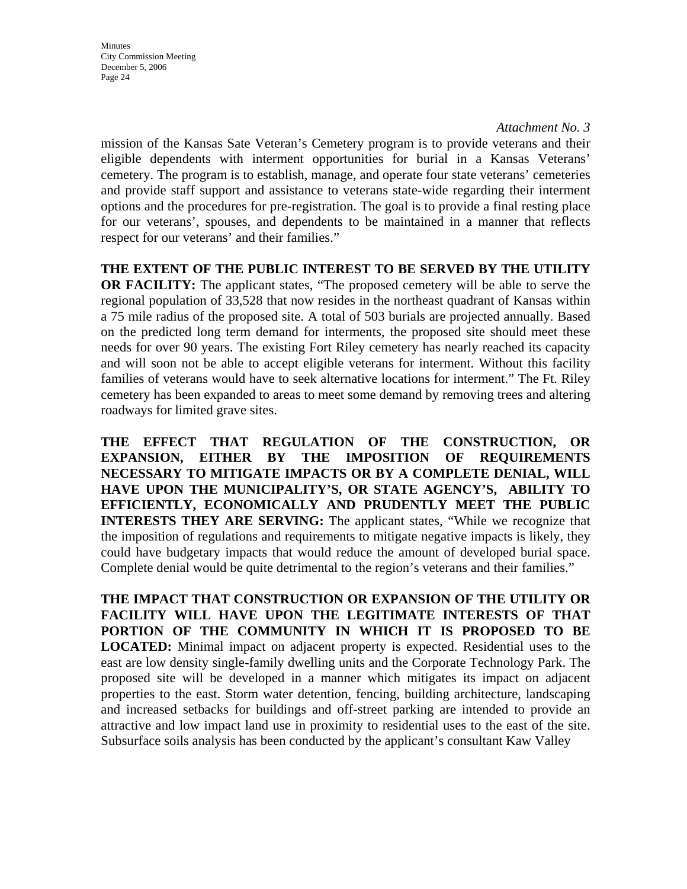#### *Attachment No. 3*

mission of the Kansas Sate Veteran's Cemetery program is to provide veterans and their eligible dependents with interment opportunities for burial in a Kansas Veterans' cemetery. The program is to establish, manage, and operate four state veterans' cemeteries and provide staff support and assistance to veterans state-wide regarding their interment options and the procedures for pre-registration. The goal is to provide a final resting place for our veterans', spouses, and dependents to be maintained in a manner that reflects respect for our veterans' and their families."

#### **THE EXTENT OF THE PUBLIC INTEREST TO BE SERVED BY THE UTILITY**

**OR FACILITY:** The applicant states, "The proposed cemetery will be able to serve the regional population of 33,528 that now resides in the northeast quadrant of Kansas within a 75 mile radius of the proposed site. A total of 503 burials are projected annually. Based on the predicted long term demand for interments, the proposed site should meet these needs for over 90 years. The existing Fort Riley cemetery has nearly reached its capacity and will soon not be able to accept eligible veterans for interment. Without this facility families of veterans would have to seek alternative locations for interment." The Ft. Riley cemetery has been expanded to areas to meet some demand by removing trees and altering roadways for limited grave sites.

**THE EFFECT THAT REGULATION OF THE CONSTRUCTION, OR EXPANSION, EITHER BY THE IMPOSITION OF REQUIREMENTS NECESSARY TO MITIGATE IMPACTS OR BY A COMPLETE DENIAL, WILL HAVE UPON THE MUNICIPALITY'S, OR STATE AGENCY'S, ABILITY TO EFFICIENTLY, ECONOMICALLY AND PRUDENTLY MEET THE PUBLIC INTERESTS THEY ARE SERVING:** The applicant states, "While we recognize that the imposition of regulations and requirements to mitigate negative impacts is likely, they could have budgetary impacts that would reduce the amount of developed burial space. Complete denial would be quite detrimental to the region's veterans and their families."

**THE IMPACT THAT CONSTRUCTION OR EXPANSION OF THE UTILITY OR FACILITY WILL HAVE UPON THE LEGITIMATE INTERESTS OF THAT PORTION OF THE COMMUNITY IN WHICH IT IS PROPOSED TO BE LOCATED:** Minimal impact on adjacent property is expected. Residential uses to the east are low density single-family dwelling units and the Corporate Technology Park. The proposed site will be developed in a manner which mitigates its impact on adjacent properties to the east. Storm water detention, fencing, building architecture, landscaping and increased setbacks for buildings and off-street parking are intended to provide an attractive and low impact land use in proximity to residential uses to the east of the site. Subsurface soils analysis has been conducted by the applicant's consultant Kaw Valley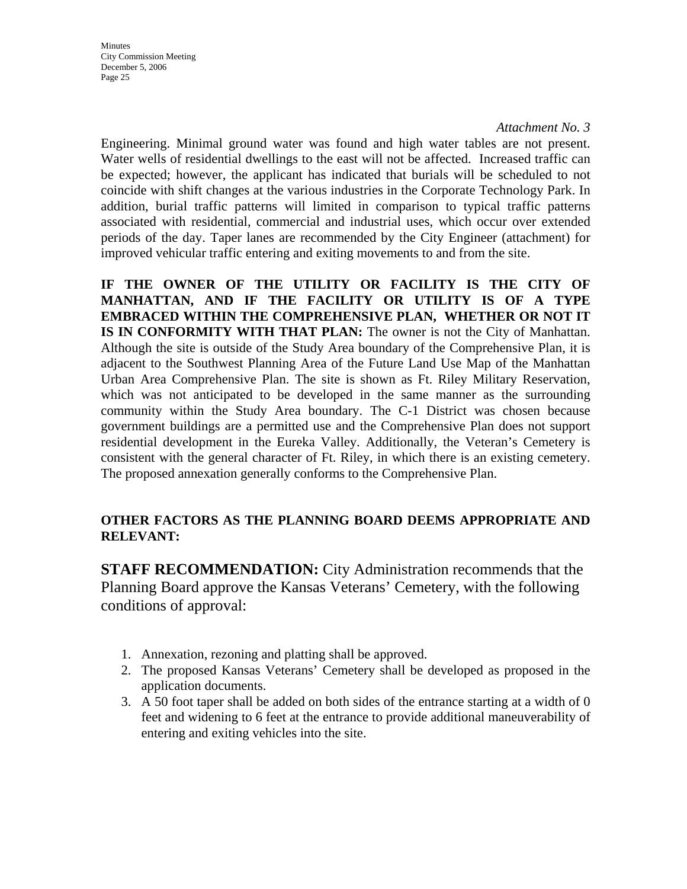*Attachment No. 3* 

Engineering. Minimal ground water was found and high water tables are not present. Water wells of residential dwellings to the east will not be affected. Increased traffic can be expected; however, the applicant has indicated that burials will be scheduled to not coincide with shift changes at the various industries in the Corporate Technology Park. In addition, burial traffic patterns will limited in comparison to typical traffic patterns associated with residential, commercial and industrial uses, which occur over extended periods of the day. Taper lanes are recommended by the City Engineer (attachment) for improved vehicular traffic entering and exiting movements to and from the site.

**IF THE OWNER OF THE UTILITY OR FACILITY IS THE CITY OF MANHATTAN, AND IF THE FACILITY OR UTILITY IS OF A TYPE EMBRACED WITHIN THE COMPREHENSIVE PLAN, WHETHER OR NOT IT IS IN CONFORMITY WITH THAT PLAN:** The owner is not the City of Manhattan. Although the site is outside of the Study Area boundary of the Comprehensive Plan, it is adjacent to the Southwest Planning Area of the Future Land Use Map of the Manhattan Urban Area Comprehensive Plan. The site is shown as Ft. Riley Military Reservation, which was not anticipated to be developed in the same manner as the surrounding community within the Study Area boundary. The C-1 District was chosen because government buildings are a permitted use and the Comprehensive Plan does not support residential development in the Eureka Valley. Additionally, the Veteran's Cemetery is consistent with the general character of Ft. Riley, in which there is an existing cemetery. The proposed annexation generally conforms to the Comprehensive Plan.

## **OTHER FACTORS AS THE PLANNING BOARD DEEMS APPROPRIATE AND RELEVANT:**

**STAFF RECOMMENDATION:** City Administration recommends that the Planning Board approve the Kansas Veterans' Cemetery, with the following conditions of approval:

- 1. Annexation, rezoning and platting shall be approved.
- 2. The proposed Kansas Veterans' Cemetery shall be developed as proposed in the application documents.
- 3. A 50 foot taper shall be added on both sides of the entrance starting at a width of 0 feet and widening to 6 feet at the entrance to provide additional maneuverability of entering and exiting vehicles into the site.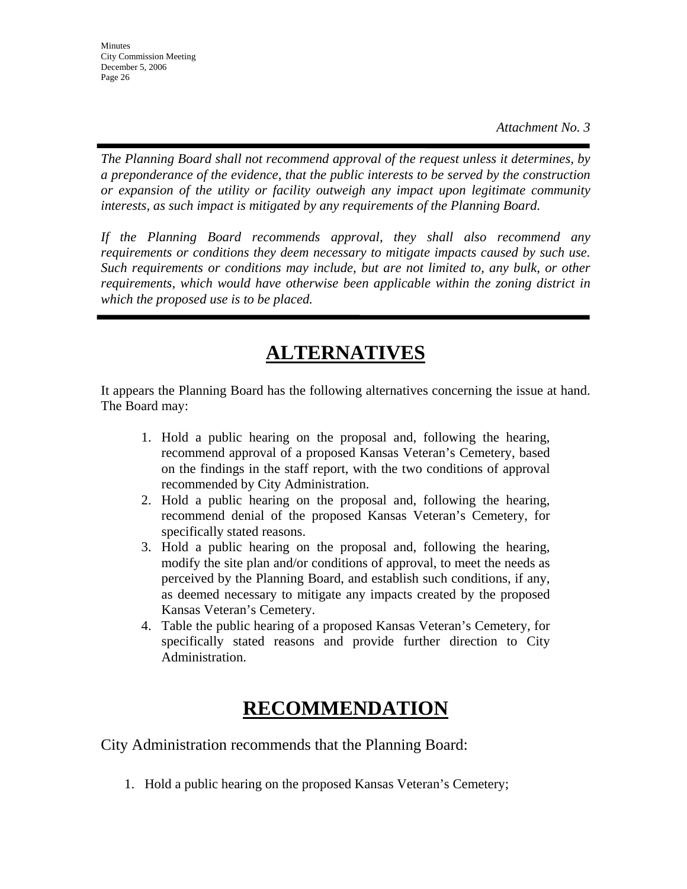*The Planning Board shall not recommend approval of the request unless it determines, by a preponderance of the evidence, that the public interests to be served by the construction or expansion of the utility or facility outweigh any impact upon legitimate community interests, as such impact is mitigated by any requirements of the Planning Board.* 

*If the Planning Board recommends approval, they shall also recommend any requirements or conditions they deem necessary to mitigate impacts caused by such use. Such requirements or conditions may include, but are not limited to, any bulk, or other requirements, which would have otherwise been applicable within the zoning district in which the proposed use is to be placed.* 

# **ALTERNATIVES**

It appears the Planning Board has the following alternatives concerning the issue at hand. The Board may:

- 1. Hold a public hearing on the proposal and, following the hearing, recommend approval of a proposed Kansas Veteran's Cemetery, based on the findings in the staff report, with the two conditions of approval recommended by City Administration.
- 2. Hold a public hearing on the proposal and, following the hearing, recommend denial of the proposed Kansas Veteran's Cemetery, for specifically stated reasons.
- 3. Hold a public hearing on the proposal and, following the hearing, modify the site plan and/or conditions of approval, to meet the needs as perceived by the Planning Board, and establish such conditions, if any, as deemed necessary to mitigate any impacts created by the proposed Kansas Veteran's Cemetery.
- 4. Table the public hearing of a proposed Kansas Veteran's Cemetery, for specifically stated reasons and provide further direction to City Administration.

# **RECOMMENDATION**

City Administration recommends that the Planning Board:

1. Hold a public hearing on the proposed Kansas Veteran's Cemetery;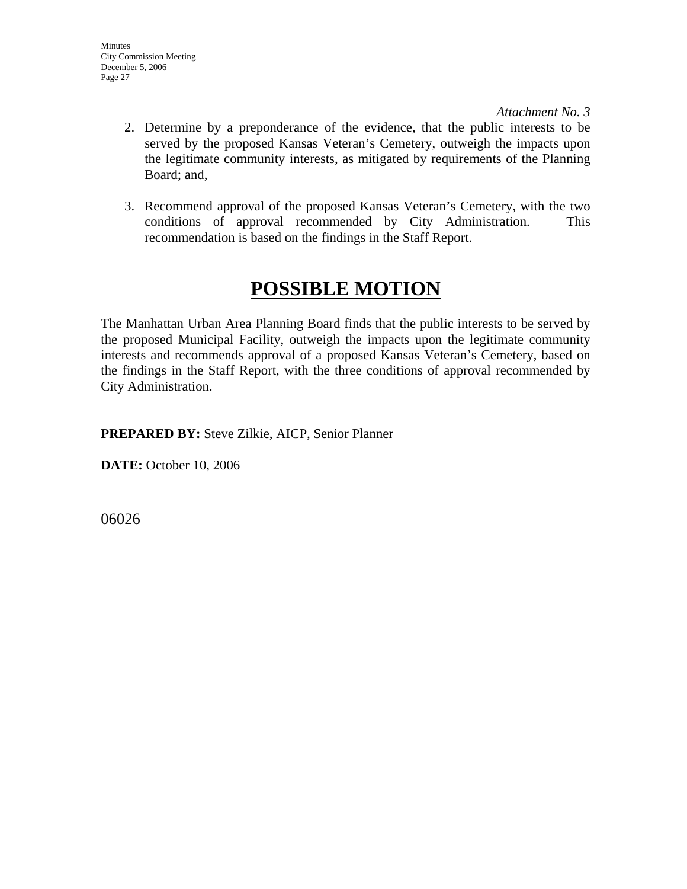- 2. Determine by a preponderance of the evidence, that the public interests to be served by the proposed Kansas Veteran's Cemetery, outweigh the impacts upon the legitimate community interests, as mitigated by requirements of the Planning Board; and,
- 3. Recommend approval of the proposed Kansas Veteran's Cemetery, with the two conditions of approval recommended by City Administration. This recommendation is based on the findings in the Staff Report.

# **POSSIBLE MOTION**

The Manhattan Urban Area Planning Board finds that the public interests to be served by the proposed Municipal Facility, outweigh the impacts upon the legitimate community interests and recommends approval of a proposed Kansas Veteran's Cemetery, based on the findings in the Staff Report, with the three conditions of approval recommended by City Administration.

**PREPARED BY:** Steve Zilkie, AICP, Senior Planner

**DATE:** October 10, 2006

06026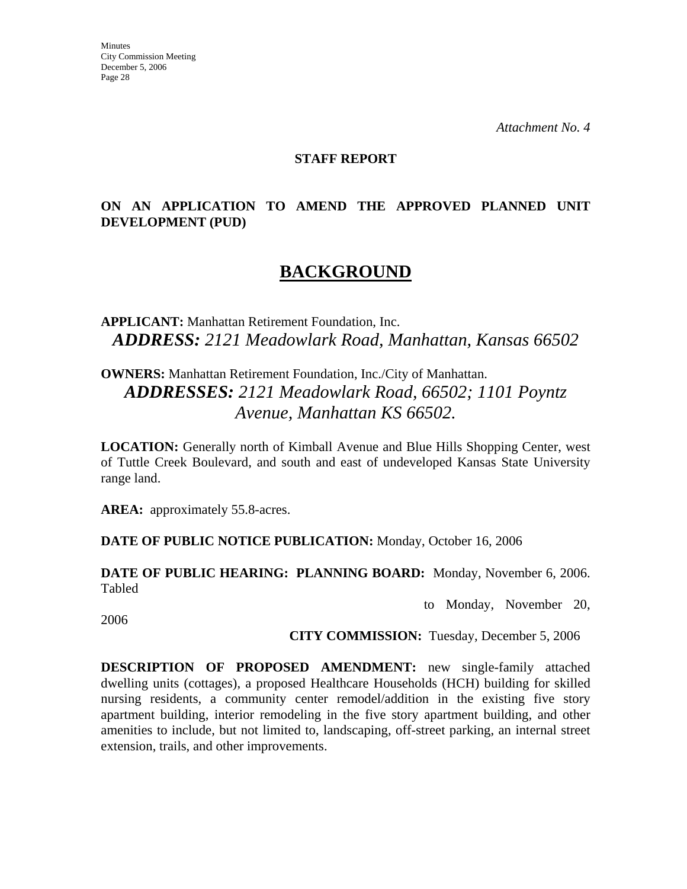*Attachment No. 4* 

#### **STAFF REPORT**

## **ON AN APPLICATION TO AMEND THE APPROVED PLANNED UNIT DEVELOPMENT (PUD)**

# **BACKGROUND**

**APPLICANT:** Manhattan Retirement Foundation, Inc. *ADDRESS: 2121 Meadowlark Road, Manhattan, Kansas 66502*

**OWNERS:** Manhattan Retirement Foundation, Inc./City of Manhattan. *ADDRESSES: 2121 Meadowlark Road, 66502; 1101 Poyntz Avenue, Manhattan KS 66502.*

**LOCATION:** Generally north of Kimball Avenue and Blue Hills Shopping Center, west of Tuttle Creek Boulevard, and south and east of undeveloped Kansas State University range land.

AREA: approximately 55.8-acres.

**DATE OF PUBLIC NOTICE PUBLICATION:** Monday, October 16, 2006

**DATE OF PUBLIC HEARING: PLANNING BOARD:** Monday, November 6, 2006. Tabled

to Monday, November 20,

2006

**CITY COMMISSION:** Tuesday, December 5, 2006

**DESCRIPTION OF PROPOSED AMENDMENT:** new single-family attached dwelling units (cottages), a proposed Healthcare Households (HCH) building for skilled nursing residents, a community center remodel/addition in the existing five story apartment building, interior remodeling in the five story apartment building, and other amenities to include, but not limited to, landscaping, off-street parking, an internal street extension, trails, and other improvements.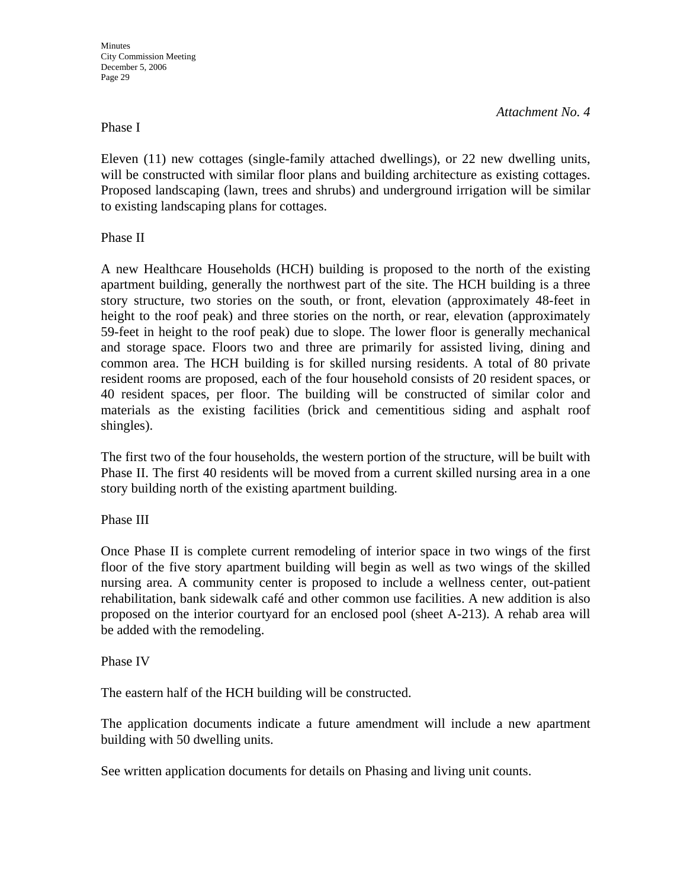#### Phase I

*Attachment No. 4* 

Eleven (11) new cottages (single-family attached dwellings), or 22 new dwelling units, will be constructed with similar floor plans and building architecture as existing cottages. Proposed landscaping (lawn, trees and shrubs) and underground irrigation will be similar to existing landscaping plans for cottages.

Phase II

A new Healthcare Households (HCH) building is proposed to the north of the existing apartment building, generally the northwest part of the site. The HCH building is a three story structure, two stories on the south, or front, elevation (approximately 48-feet in height to the roof peak) and three stories on the north, or rear, elevation (approximately 59-feet in height to the roof peak) due to slope. The lower floor is generally mechanical and storage space. Floors two and three are primarily for assisted living, dining and common area. The HCH building is for skilled nursing residents. A total of 80 private resident rooms are proposed, each of the four household consists of 20 resident spaces, or 40 resident spaces, per floor. The building will be constructed of similar color and materials as the existing facilities (brick and cementitious siding and asphalt roof shingles).

The first two of the four households, the western portion of the structure, will be built with Phase II. The first 40 residents will be moved from a current skilled nursing area in a one story building north of the existing apartment building.

Phase III

Once Phase II is complete current remodeling of interior space in two wings of the first floor of the five story apartment building will begin as well as two wings of the skilled nursing area. A community center is proposed to include a wellness center, out-patient rehabilitation, bank sidewalk café and other common use facilities. A new addition is also proposed on the interior courtyard for an enclosed pool (sheet A-213). A rehab area will be added with the remodeling.

#### Phase IV

The eastern half of the HCH building will be constructed.

The application documents indicate a future amendment will include a new apartment building with 50 dwelling units.

See written application documents for details on Phasing and living unit counts.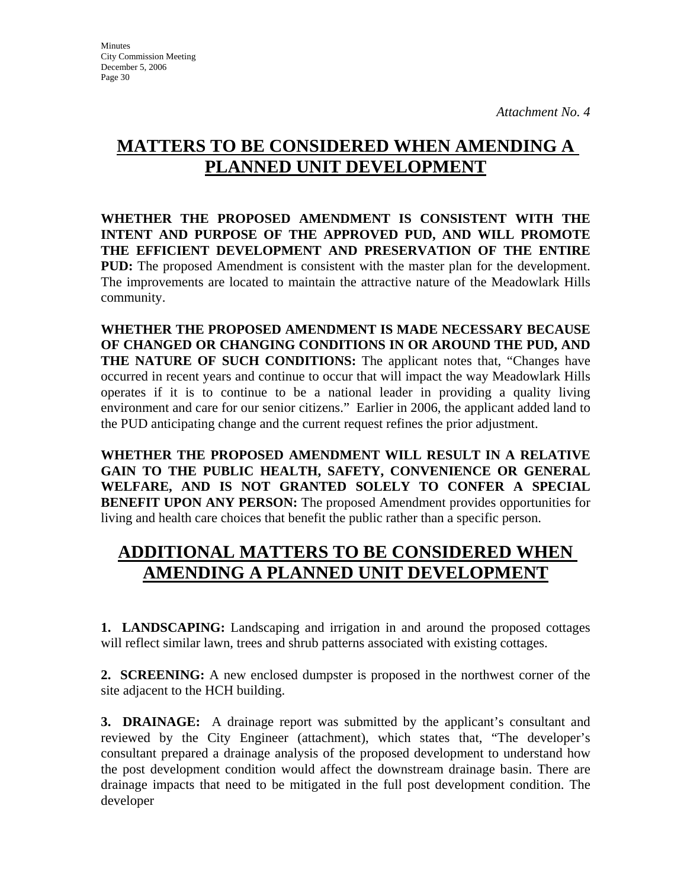# **MATTERS TO BE CONSIDERED WHEN AMENDING A PLANNED UNIT DEVELOPMENT**

**WHETHER THE PROPOSED AMENDMENT IS CONSISTENT WITH THE INTENT AND PURPOSE OF THE APPROVED PUD, AND WILL PROMOTE THE EFFICIENT DEVELOPMENT AND PRESERVATION OF THE ENTIRE PUD:** The proposed Amendment is consistent with the master plan for the development. The improvements are located to maintain the attractive nature of the Meadowlark Hills community.

**WHETHER THE PROPOSED AMENDMENT IS MADE NECESSARY BECAUSE OF CHANGED OR CHANGING CONDITIONS IN OR AROUND THE PUD, AND THE NATURE OF SUCH CONDITIONS:** The applicant notes that, "Changes have occurred in recent years and continue to occur that will impact the way Meadowlark Hills operates if it is to continue to be a national leader in providing a quality living environment and care for our senior citizens." Earlier in 2006, the applicant added land to the PUD anticipating change and the current request refines the prior adjustment.

**WHETHER THE PROPOSED AMENDMENT WILL RESULT IN A RELATIVE GAIN TO THE PUBLIC HEALTH, SAFETY, CONVENIENCE OR GENERAL WELFARE, AND IS NOT GRANTED SOLELY TO CONFER A SPECIAL BENEFIT UPON ANY PERSON:** The proposed Amendment provides opportunities for living and health care choices that benefit the public rather than a specific person.

# **ADDITIONAL MATTERS TO BE CONSIDERED WHEN AMENDING A PLANNED UNIT DEVELOPMENT**

**1. LANDSCAPING:** Landscaping and irrigation in and around the proposed cottages will reflect similar lawn, trees and shrub patterns associated with existing cottages.

**2. SCREENING:** A new enclosed dumpster is proposed in the northwest corner of the site adjacent to the HCH building.

**3. DRAINAGE:** A drainage report was submitted by the applicant's consultant and reviewed by the City Engineer (attachment), which states that, "The developer's consultant prepared a drainage analysis of the proposed development to understand how the post development condition would affect the downstream drainage basin. There are drainage impacts that need to be mitigated in the full post development condition. The developer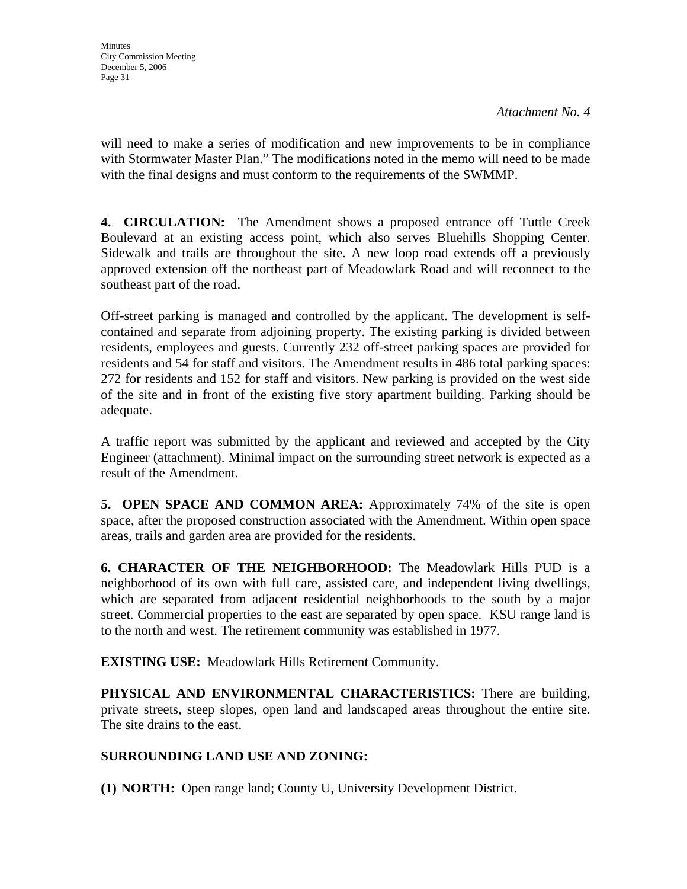will need to make a series of modification and new improvements to be in compliance with Stormwater Master Plan." The modifications noted in the memo will need to be made with the final designs and must conform to the requirements of the SWMMP.

**4. CIRCULATION:** The Amendment shows a proposed entrance off Tuttle Creek Boulevard at an existing access point, which also serves Bluehills Shopping Center. Sidewalk and trails are throughout the site. A new loop road extends off a previously approved extension off the northeast part of Meadowlark Road and will reconnect to the southeast part of the road.

Off-street parking is managed and controlled by the applicant. The development is selfcontained and separate from adjoining property. The existing parking is divided between residents, employees and guests. Currently 232 off-street parking spaces are provided for residents and 54 for staff and visitors. The Amendment results in 486 total parking spaces: 272 for residents and 152 for staff and visitors. New parking is provided on the west side of the site and in front of the existing five story apartment building. Parking should be adequate.

A traffic report was submitted by the applicant and reviewed and accepted by the City Engineer (attachment). Minimal impact on the surrounding street network is expected as a result of the Amendment.

**5. OPEN SPACE AND COMMON AREA:** Approximately 74% of the site is open space, after the proposed construction associated with the Amendment. Within open space areas, trails and garden area are provided for the residents.

**6. CHARACTER OF THE NEIGHBORHOOD:** The Meadowlark Hills PUD is a neighborhood of its own with full care, assisted care, and independent living dwellings, which are separated from adjacent residential neighborhoods to the south by a major street. Commercial properties to the east are separated by open space. KSU range land is to the north and west. The retirement community was established in 1977.

**EXISTING USE:** Meadowlark Hills Retirement Community.

**PHYSICAL AND ENVIRONMENTAL CHARACTERISTICS:** There are building, private streets, steep slopes, open land and landscaped areas throughout the entire site. The site drains to the east.

## **SURROUNDING LAND USE AND ZONING:**

**(1) NORTH:** Open range land; County U, University Development District.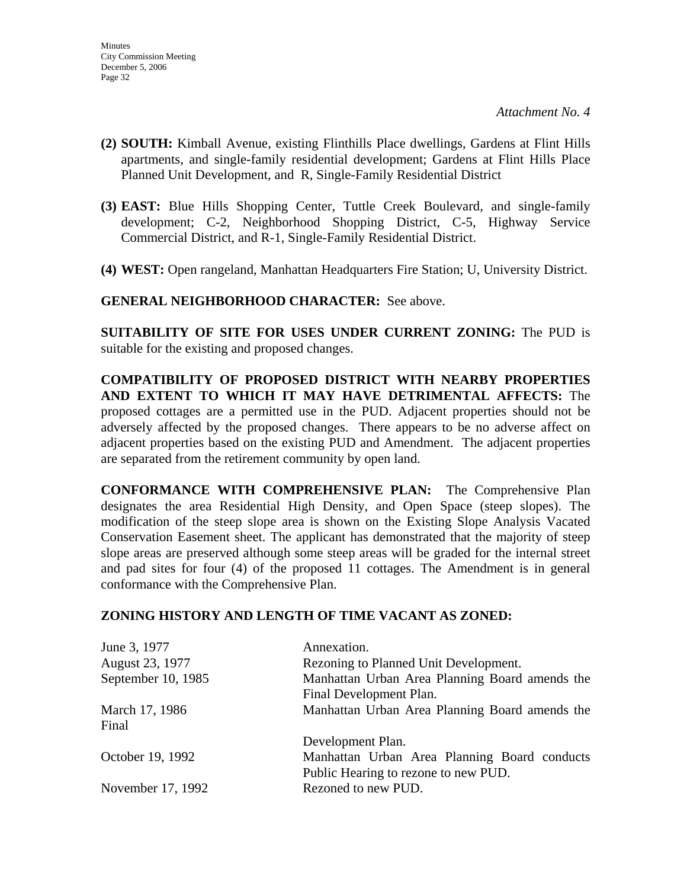- **(2) SOUTH:** Kimball Avenue, existing Flinthills Place dwellings, Gardens at Flint Hills apartments, and single-family residential development; Gardens at Flint Hills Place Planned Unit Development, and R, Single-Family Residential District
- **(3) EAST:** Blue Hills Shopping Center, Tuttle Creek Boulevard, and single-family development; C-2, Neighborhood Shopping District, C-5, Highway Service Commercial District, and R-1, Single-Family Residential District.
- **(4) WEST:** Open rangeland, Manhattan Headquarters Fire Station; U, University District.

**GENERAL NEIGHBORHOOD CHARACTER:** See above.

**SUITABILITY OF SITE FOR USES UNDER CURRENT ZONING:** The PUD is suitable for the existing and proposed changes.

**COMPATIBILITY OF PROPOSED DISTRICT WITH NEARBY PROPERTIES AND EXTENT TO WHICH IT MAY HAVE DETRIMENTAL AFFECTS:** The proposed cottages are a permitted use in the PUD. Adjacent properties should not be adversely affected by the proposed changes. There appears to be no adverse affect on adjacent properties based on the existing PUD and Amendment. The adjacent properties are separated from the retirement community by open land.

**CONFORMANCE WITH COMPREHENSIVE PLAN:** The Comprehensive Plan designates the area Residential High Density, and Open Space (steep slopes). The modification of the steep slope area is shown on the Existing Slope Analysis Vacated Conservation Easement sheet. The applicant has demonstrated that the majority of steep slope areas are preserved although some steep areas will be graded for the internal street and pad sites for four (4) of the proposed 11 cottages. The Amendment is in general conformance with the Comprehensive Plan.

#### **ZONING HISTORY AND LENGTH OF TIME VACANT AS ZONED:**

| June 3, 1977       | Annexation.                                    |
|--------------------|------------------------------------------------|
| August 23, 1977    | Rezoning to Planned Unit Development.          |
| September 10, 1985 | Manhattan Urban Area Planning Board amends the |
|                    | Final Development Plan.                        |
| March 17, 1986     | Manhattan Urban Area Planning Board amends the |
| Final              |                                                |
|                    | Development Plan.                              |
| October 19, 1992   | Manhattan Urban Area Planning Board conducts   |
|                    | Public Hearing to rezone to new PUD.           |
| November 17, 1992  | Rezoned to new PUD.                            |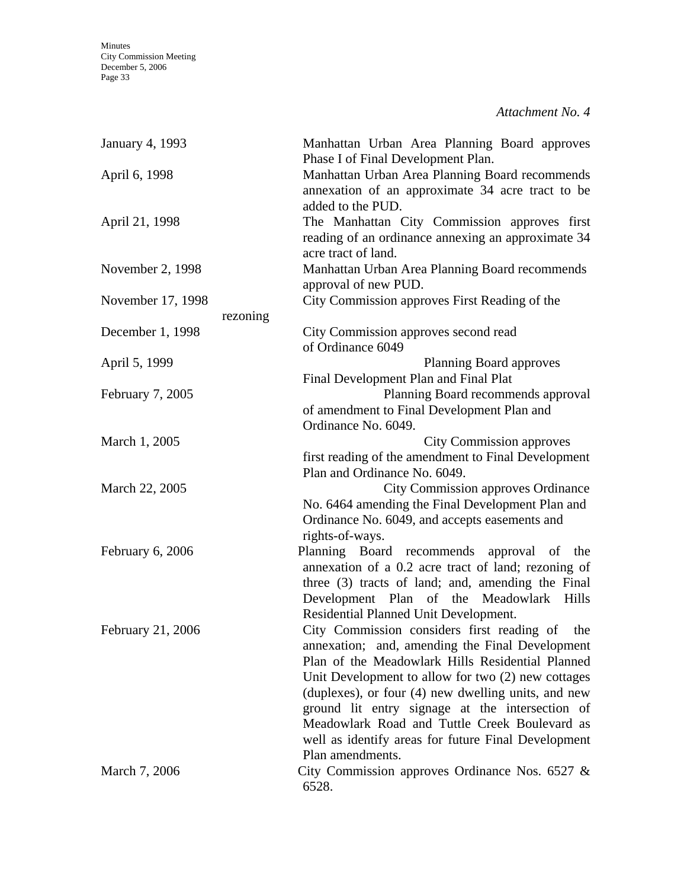*Attachment No. 4* 

| January 4, 1993   |          | Manhattan Urban Area Planning Board approves<br>Phase I of Final Development Plan.                                                                                                                                                                                                                                                                                                                                                                   |
|-------------------|----------|------------------------------------------------------------------------------------------------------------------------------------------------------------------------------------------------------------------------------------------------------------------------------------------------------------------------------------------------------------------------------------------------------------------------------------------------------|
| April 6, 1998     |          | Manhattan Urban Area Planning Board recommends<br>annexation of an approximate 34 acre tract to be<br>added to the PUD.                                                                                                                                                                                                                                                                                                                              |
| April 21, 1998    |          | The Manhattan City Commission approves first<br>reading of an ordinance annexing an approximate 34<br>acre tract of land.                                                                                                                                                                                                                                                                                                                            |
| November 2, 1998  |          | Manhattan Urban Area Planning Board recommends<br>approval of new PUD.                                                                                                                                                                                                                                                                                                                                                                               |
| November 17, 1998 | rezoning | City Commission approves First Reading of the                                                                                                                                                                                                                                                                                                                                                                                                        |
| December 1, 1998  |          | City Commission approves second read<br>of Ordinance 6049                                                                                                                                                                                                                                                                                                                                                                                            |
| April 5, 1999     |          | Planning Board approves<br>Final Development Plan and Final Plat                                                                                                                                                                                                                                                                                                                                                                                     |
| February 7, 2005  |          | Planning Board recommends approval<br>of amendment to Final Development Plan and<br>Ordinance No. 6049.                                                                                                                                                                                                                                                                                                                                              |
| March 1, 2005     |          | <b>City Commission approves</b>                                                                                                                                                                                                                                                                                                                                                                                                                      |
|                   |          | first reading of the amendment to Final Development<br>Plan and Ordinance No. 6049.                                                                                                                                                                                                                                                                                                                                                                  |
| March 22, 2005    |          | <b>City Commission approves Ordinance</b><br>No. 6464 amending the Final Development Plan and<br>Ordinance No. 6049, and accepts easements and<br>rights-of-ways.                                                                                                                                                                                                                                                                                    |
| February 6, 2006  |          | Planning Board recommends approval of the<br>annexation of a 0.2 acre tract of land; rezoning of<br>three (3) tracts of land; and, amending the Final<br>Development Plan of the Meadowlark Hills<br>Residential Planned Unit Development.                                                                                                                                                                                                           |
| February 21, 2006 |          | City Commission considers first reading of<br>the<br>annexation; and, amending the Final Development<br>Plan of the Meadowlark Hills Residential Planned<br>Unit Development to allow for two (2) new cottages<br>(duplexes), or four (4) new dwelling units, and new<br>ground lit entry signage at the intersection of<br>Meadowlark Road and Tuttle Creek Boulevard as<br>well as identify areas for future Final Development<br>Plan amendments. |
| March 7, 2006     |          | City Commission approves Ordinance Nos. $6527 \&$<br>6528.                                                                                                                                                                                                                                                                                                                                                                                           |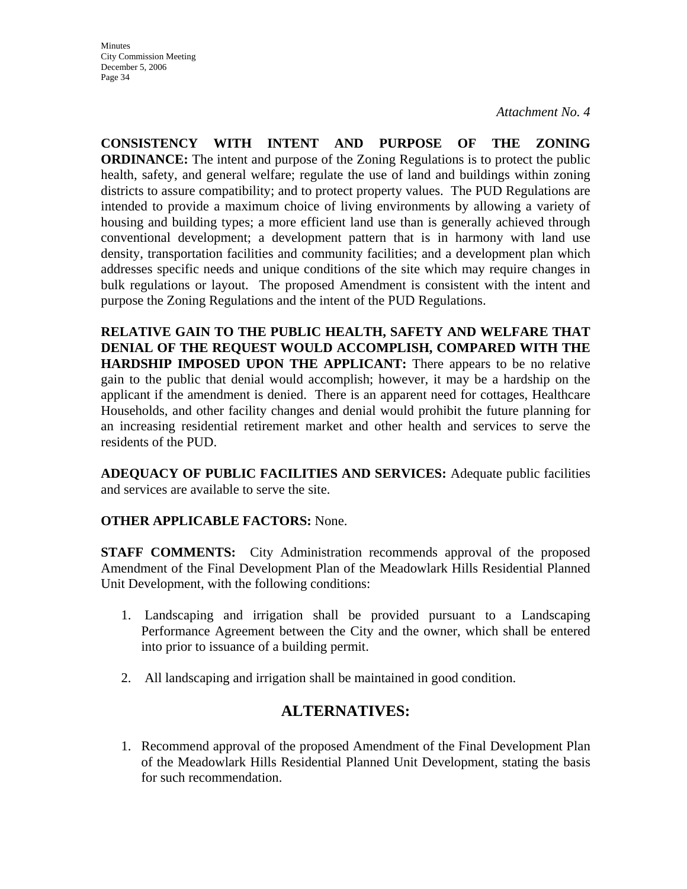**CONSISTENCY WITH INTENT AND PURPOSE OF THE ZONING ORDINANCE:** The intent and purpose of the Zoning Regulations is to protect the public health, safety, and general welfare; regulate the use of land and buildings within zoning districts to assure compatibility; and to protect property values. The PUD Regulations are intended to provide a maximum choice of living environments by allowing a variety of housing and building types; a more efficient land use than is generally achieved through conventional development; a development pattern that is in harmony with land use density, transportation facilities and community facilities; and a development plan which addresses specific needs and unique conditions of the site which may require changes in bulk regulations or layout. The proposed Amendment is consistent with the intent and purpose the Zoning Regulations and the intent of the PUD Regulations.

**RELATIVE GAIN TO THE PUBLIC HEALTH, SAFETY AND WELFARE THAT DENIAL OF THE REQUEST WOULD ACCOMPLISH, COMPARED WITH THE HARDSHIP IMPOSED UPON THE APPLICANT:** There appears to be no relative gain to the public that denial would accomplish; however, it may be a hardship on the applicant if the amendment is denied. There is an apparent need for cottages, Healthcare Households, and other facility changes and denial would prohibit the future planning for an increasing residential retirement market and other health and services to serve the residents of the PUD.

**ADEQUACY OF PUBLIC FACILITIES AND SERVICES:** Adequate public facilities and services are available to serve the site.

#### **OTHER APPLICABLE FACTORS:** None.

**STAFF COMMENTS:** City Administration recommends approval of the proposed Amendment of the Final Development Plan of the Meadowlark Hills Residential Planned Unit Development, with the following conditions:

- 1. Landscaping and irrigation shall be provided pursuant to a Landscaping Performance Agreement between the City and the owner, which shall be entered into prior to issuance of a building permit.
- 2. All landscaping and irrigation shall be maintained in good condition.

## **ALTERNATIVES:**

1. Recommend approval of the proposed Amendment of the Final Development Plan of the Meadowlark Hills Residential Planned Unit Development, stating the basis for such recommendation.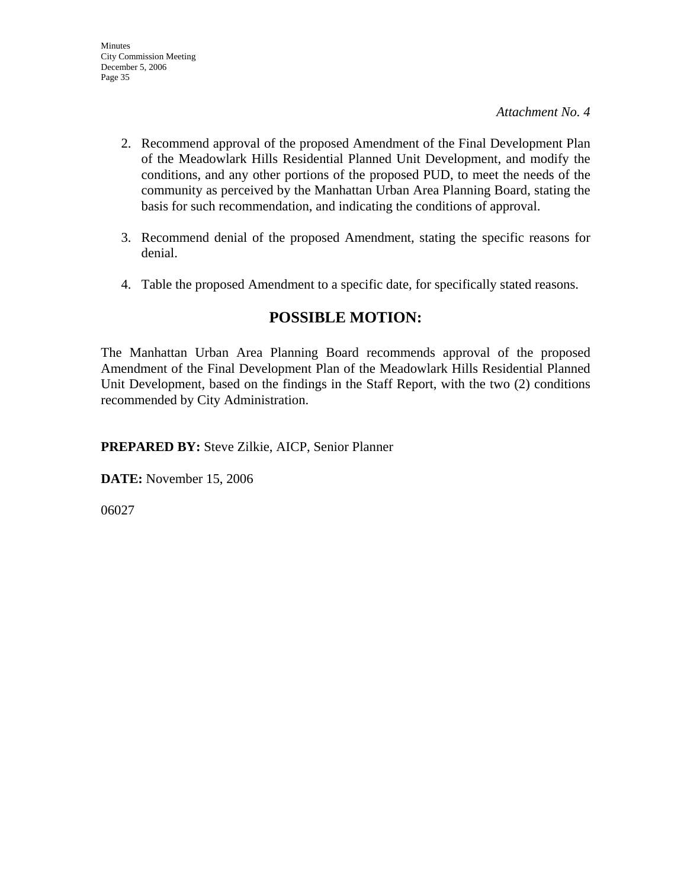- 2. Recommend approval of the proposed Amendment of the Final Development Plan of the Meadowlark Hills Residential Planned Unit Development, and modify the conditions, and any other portions of the proposed PUD, to meet the needs of the community as perceived by the Manhattan Urban Area Planning Board, stating the basis for such recommendation, and indicating the conditions of approval.
- 3. Recommend denial of the proposed Amendment, stating the specific reasons for denial.
- 4. Table the proposed Amendment to a specific date, for specifically stated reasons.

## **POSSIBLE MOTION:**

The Manhattan Urban Area Planning Board recommends approval of the proposed Amendment of the Final Development Plan of the Meadowlark Hills Residential Planned Unit Development, based on the findings in the Staff Report, with the two (2) conditions recommended by City Administration.

**PREPARED BY:** Steve Zilkie, AICP, Senior Planner

**DATE:** November 15, 2006

06027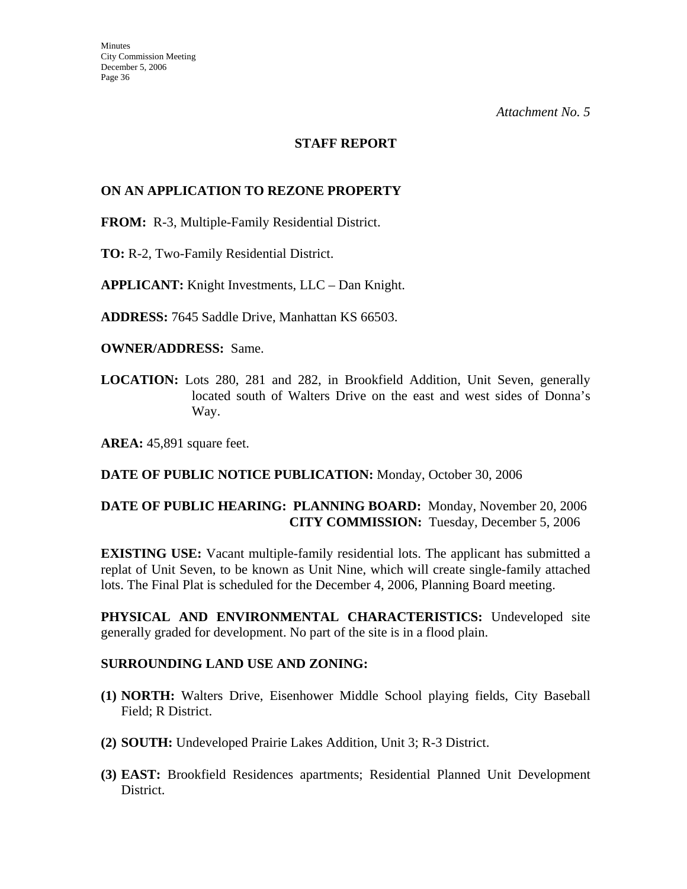#### **STAFF REPORT**

#### **ON AN APPLICATION TO REZONE PROPERTY**

**FROM:** R-3, Multiple-Family Residential District.

**TO:** R-2, Two-Family Residential District.

**APPLICANT:** Knight Investments, LLC – Dan Knight.

**ADDRESS:** 7645 Saddle Drive, Manhattan KS 66503.

**OWNER/ADDRESS:** Same.

**LOCATION:** Lots 280, 281 and 282, in Brookfield Addition, Unit Seven, generally located south of Walters Drive on the east and west sides of Donna's Way.

**AREA:** 45,891 square feet.

#### **DATE OF PUBLIC NOTICE PUBLICATION:** Monday, October 30, 2006

## **DATE OF PUBLIC HEARING: PLANNING BOARD:** Monday, November 20, 2006 **CITY COMMISSION:** Tuesday, December 5, 2006

**EXISTING USE:** Vacant multiple-family residential lots. The applicant has submitted a replat of Unit Seven, to be known as Unit Nine, which will create single-family attached lots. The Final Plat is scheduled for the December 4, 2006, Planning Board meeting.

**PHYSICAL AND ENVIRONMENTAL CHARACTERISTICS:** Undeveloped site generally graded for development. No part of the site is in a flood plain.

#### **SURROUNDING LAND USE AND ZONING:**

- **(1) NORTH:** Walters Drive, Eisenhower Middle School playing fields, City Baseball Field; R District.
- **(2) SOUTH:** Undeveloped Prairie Lakes Addition, Unit 3; R-3 District.
- **(3) EAST:** Brookfield Residences apartments; Residential Planned Unit Development District.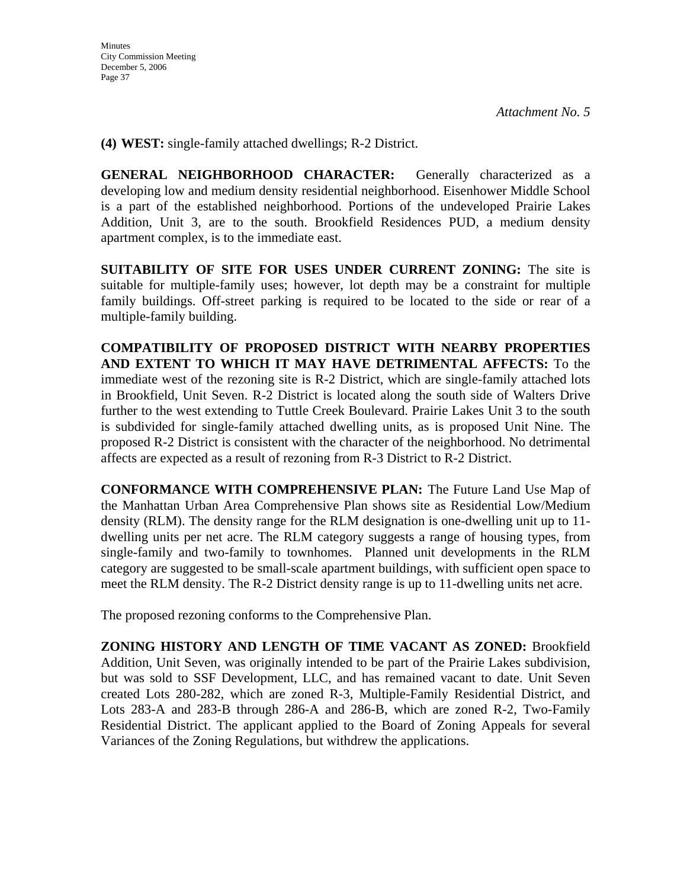**(4) WEST:** single-family attached dwellings; R-2 District.

**GENERAL NEIGHBORHOOD CHARACTER:** Generally characterized as a developing low and medium density residential neighborhood. Eisenhower Middle School is a part of the established neighborhood. Portions of the undeveloped Prairie Lakes Addition, Unit 3, are to the south. Brookfield Residences PUD, a medium density apartment complex, is to the immediate east.

**SUITABILITY OF SITE FOR USES UNDER CURRENT ZONING:** The site is suitable for multiple-family uses; however, lot depth may be a constraint for multiple family buildings. Off-street parking is required to be located to the side or rear of a multiple-family building.

**COMPATIBILITY OF PROPOSED DISTRICT WITH NEARBY PROPERTIES AND EXTENT TO WHICH IT MAY HAVE DETRIMENTAL AFFECTS:** To the immediate west of the rezoning site is R-2 District, which are single-family attached lots in Brookfield, Unit Seven. R-2 District is located along the south side of Walters Drive further to the west extending to Tuttle Creek Boulevard. Prairie Lakes Unit 3 to the south is subdivided for single-family attached dwelling units, as is proposed Unit Nine. The proposed R-2 District is consistent with the character of the neighborhood. No detrimental affects are expected as a result of rezoning from R-3 District to R-2 District.

**CONFORMANCE WITH COMPREHENSIVE PLAN:** The Future Land Use Map of the Manhattan Urban Area Comprehensive Plan shows site as Residential Low/Medium density (RLM). The density range for the RLM designation is one-dwelling unit up to 11 dwelling units per net acre. The RLM category suggests a range of housing types, from single-family and two-family to townhomes. Planned unit developments in the RLM category are suggested to be small-scale apartment buildings, with sufficient open space to meet the RLM density. The R-2 District density range is up to 11-dwelling units net acre.

The proposed rezoning conforms to the Comprehensive Plan.

**ZONING HISTORY AND LENGTH OF TIME VACANT AS ZONED:** Brookfield Addition, Unit Seven, was originally intended to be part of the Prairie Lakes subdivision, but was sold to SSF Development, LLC, and has remained vacant to date. Unit Seven created Lots 280-282, which are zoned R-3, Multiple-Family Residential District, and Lots 283-A and 283-B through 286-A and 286-B, which are zoned R-2, Two-Family Residential District. The applicant applied to the Board of Zoning Appeals for several Variances of the Zoning Regulations, but withdrew the applications.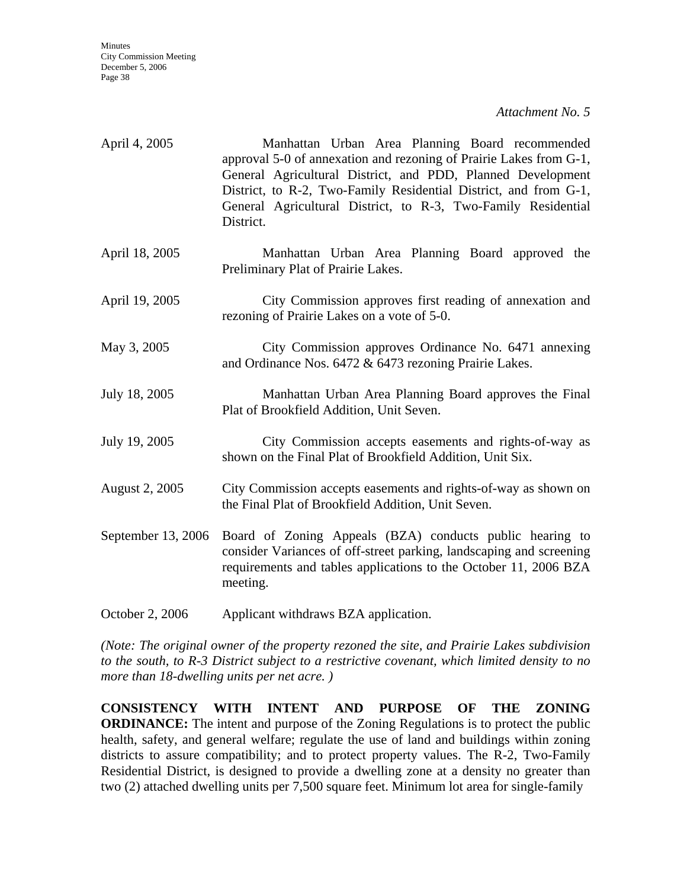| April 4, 2005      | Manhattan Urban Area Planning Board recommended<br>approval 5-0 of annexation and rezoning of Prairie Lakes from G-1,<br>General Agricultural District, and PDD, Planned Development<br>District, to R-2, Two-Family Residential District, and from G-1,<br>General Agricultural District, to R-3, Two-Family Residential<br>District. |
|--------------------|----------------------------------------------------------------------------------------------------------------------------------------------------------------------------------------------------------------------------------------------------------------------------------------------------------------------------------------|
| April 18, 2005     | Manhattan Urban Area Planning Board approved the<br>Preliminary Plat of Prairie Lakes.                                                                                                                                                                                                                                                 |
| April 19, 2005     | City Commission approves first reading of annexation and<br>rezoning of Prairie Lakes on a vote of 5-0.                                                                                                                                                                                                                                |
| May 3, 2005        | City Commission approves Ordinance No. 6471 annexing<br>and Ordinance Nos. 6472 & 6473 rezoning Prairie Lakes.                                                                                                                                                                                                                         |
| July 18, 2005      | Manhattan Urban Area Planning Board approves the Final<br>Plat of Brookfield Addition, Unit Seven.                                                                                                                                                                                                                                     |
| July 19, 2005      | City Commission accepts easements and rights-of-way as<br>shown on the Final Plat of Brookfield Addition, Unit Six.                                                                                                                                                                                                                    |
| August 2, 2005     | City Commission accepts easements and rights-of-way as shown on<br>the Final Plat of Brookfield Addition, Unit Seven.                                                                                                                                                                                                                  |
| September 13, 2006 | Board of Zoning Appeals (BZA) conducts public hearing to<br>consider Variances of off-street parking, landscaping and screening<br>requirements and tables applications to the October 11, 2006 BZA<br>meeting.                                                                                                                        |

October 2, 2006 Applicant withdraws BZA application.

*(Note: The original owner of the property rezoned the site, and Prairie Lakes subdivision to the south, to R-3 District subject to a restrictive covenant, which limited density to no more than 18-dwelling units per net acre. )* 

**CONSISTENCY WITH INTENT AND PURPOSE OF THE ZONING ORDINANCE:** The intent and purpose of the Zoning Regulations is to protect the public health, safety, and general welfare; regulate the use of land and buildings within zoning districts to assure compatibility; and to protect property values. The R-2, Two-Family Residential District, is designed to provide a dwelling zone at a density no greater than two (2) attached dwelling units per 7,500 square feet. Minimum lot area for single-family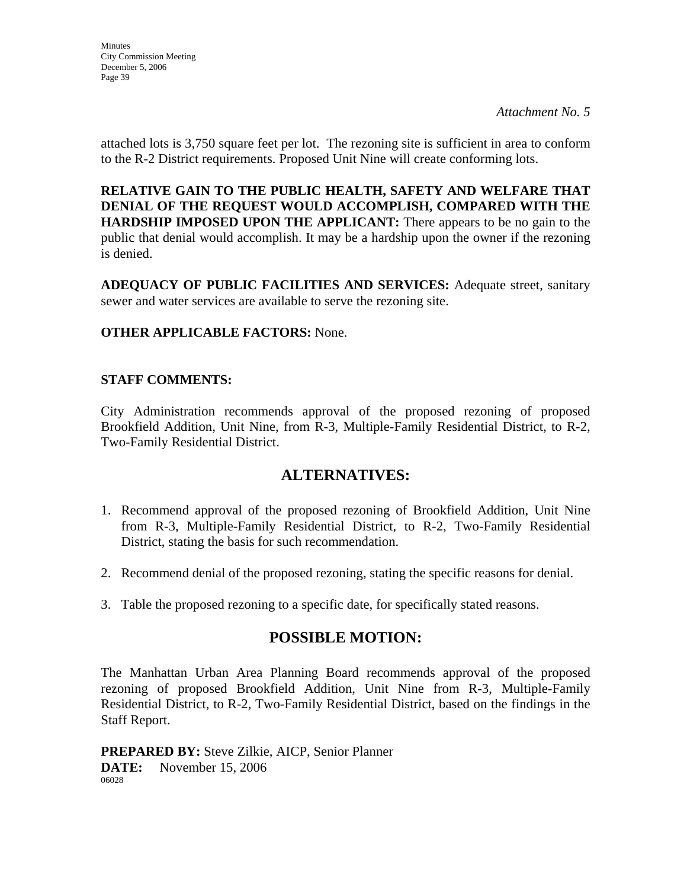*Attachment No. 5* 

attached lots is 3,750 square feet per lot. The rezoning site is sufficient in area to conform to the R-2 District requirements. Proposed Unit Nine will create conforming lots.

**RELATIVE GAIN TO THE PUBLIC HEALTH, SAFETY AND WELFARE THAT DENIAL OF THE REQUEST WOULD ACCOMPLISH, COMPARED WITH THE HARDSHIP IMPOSED UPON THE APPLICANT:** There appears to be no gain to the public that denial would accomplish. It may be a hardship upon the owner if the rezoning is denied.

**ADEQUACY OF PUBLIC FACILITIES AND SERVICES:** Adequate street, sanitary sewer and water services are available to serve the rezoning site.

#### **OTHER APPLICABLE FACTORS:** None.

#### **STAFF COMMENTS:**

City Administration recommends approval of the proposed rezoning of proposed Brookfield Addition, Unit Nine, from R-3, Multiple-Family Residential District, to R-2, Two-Family Residential District.

## **ALTERNATIVES:**

- 1. Recommend approval of the proposed rezoning of Brookfield Addition, Unit Nine from R-3, Multiple-Family Residential District, to R-2, Two-Family Residential District, stating the basis for such recommendation.
- 2. Recommend denial of the proposed rezoning, stating the specific reasons for denial.
- 3. Table the proposed rezoning to a specific date, for specifically stated reasons.

## **POSSIBLE MOTION:**

The Manhattan Urban Area Planning Board recommends approval of the proposed rezoning of proposed Brookfield Addition, Unit Nine from R-3, Multiple-Family Residential District, to R-2, Two-Family Residential District, based on the findings in the Staff Report.

**PREPARED BY:** Steve Zilkie, AICP, Senior Planner **DATE:** November 15, 2006 06028